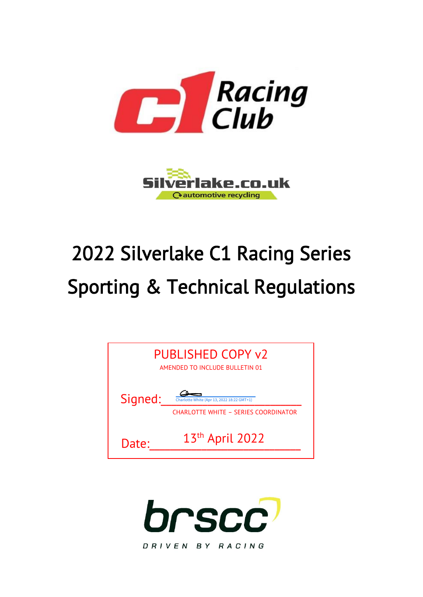



# 2022 Silverlake C1 Racing Series Sporting & Technical Regulations



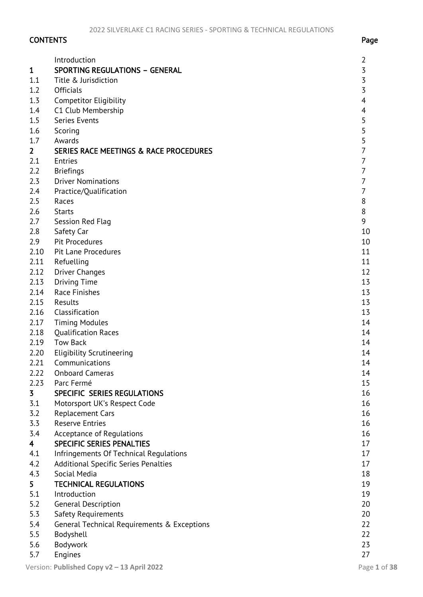# CONTENTS Page

| $\mathbf{1}$            | Introduction<br><b>SPORTING REGULATIONS - GENERAL</b> | 2<br>3         |
|-------------------------|-------------------------------------------------------|----------------|
| 1.1                     | Title & Jurisdiction                                  | 3              |
| 1.2                     | <b>Officials</b>                                      | 3              |
| 1.3                     |                                                       | 4              |
| 1.4                     | <b>Competitor Eligibility</b><br>C1 Club Membership   |                |
| 1.5                     | Series Events                                         | 4<br>5         |
|                         |                                                       | 5              |
| 1.6<br>1.7              | Scoring<br>Awards                                     | 5              |
| $\overline{2}$          | SERIES RACE MEETINGS & RACE PROCEDURES                | 7              |
|                         | <b>Entries</b>                                        | $\overline{7}$ |
| 2.1                     |                                                       | $\overline{7}$ |
| 2.2                     | <b>Briefings</b>                                      | 7              |
| 2.3                     | <b>Driver Nominations</b>                             |                |
| 2.4                     | Practice/Qualification                                | 7              |
| 2.5                     | Races                                                 | 8              |
| 2.6                     | <b>Starts</b>                                         | 8              |
| 2.7                     | Session Red Flag                                      | 9              |
| 2.8                     | Safety Car                                            | 10             |
| 2.9                     | Pit Procedures                                        | 10             |
| 2.10                    | <b>Pit Lane Procedures</b>                            | 11             |
| 2.11                    | Refuelling                                            | 11             |
| 2.12                    | <b>Driver Changes</b>                                 | 12             |
| 2.13                    | <b>Driving Time</b>                                   | 13             |
| 2.14                    | <b>Race Finishes</b>                                  | 13             |
| 2.15                    | Results                                               | 13             |
| 2.16                    | Classification                                        | 13             |
| 2.17                    | <b>Timing Modules</b>                                 | 14             |
| 2.18                    | <b>Qualification Races</b>                            | 14             |
| 2.19                    | <b>Tow Back</b>                                       | 14             |
| 2.20                    | <b>Eligibility Scrutineering</b>                      | 14             |
| 2.21                    | Communications                                        | 14             |
| 2.22                    | <b>Onboard Cameras</b>                                | 14             |
| 2.23                    | Parc Fermé                                            | 15             |
| 3                       | SPECIFIC SERIES REGULATIONS                           | 16             |
| 3.1                     | Motorsport UK's Respect Code                          | 16             |
| 3.2                     | <b>Replacement Cars</b>                               | 16             |
| 3.3                     | <b>Reserve Entries</b>                                | 16             |
| 3.4                     | Acceptance of Regulations                             | 16             |
| $\overline{\mathbf{4}}$ | <b>SPECIFIC SERIES PENALTIES</b>                      | 17             |
| 4.1                     | Infringements Of Technical Regulations                | 17             |
| 4.2                     | Additional Specific Series Penalties                  | 17             |
| 4.3                     | Social Media                                          | 18             |
| 5                       | <b>TECHNICAL REGULATIONS</b>                          | 19             |
| 5.1                     | Introduction                                          | 19             |
| 5.2                     | <b>General Description</b>                            | 20             |
| 5.3                     | Safety Requirements                                   | 20             |
| 5.4                     | General Technical Requirements & Exceptions           | 22             |
| 5.5                     | Bodyshell                                             | 22             |
| 5.6                     | Bodywork                                              | 23             |
| 5.7                     | Engines                                               | 27             |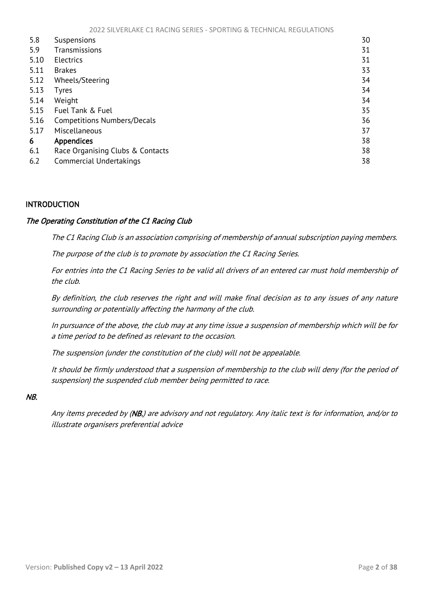<span id="page-2-1"></span>

| 5.8  | Suspensions                        | 30 |
|------|------------------------------------|----|
| 5.9  | Transmissions                      | 31 |
| 5.10 | <b>Electrics</b>                   | 31 |
| 5.11 | <b>Brakes</b>                      | 33 |
| 5.12 | Wheels/Steering                    | 34 |
| 5.13 | Tyres                              | 34 |
| 5.14 | Weight                             | 34 |
| 5.15 | Fuel Tank & Fuel                   | 35 |
| 5.16 | <b>Competitions Numbers/Decals</b> | 36 |
| 5.17 | Miscellaneous                      | 37 |
| 6    | <b>Appendices</b>                  | 38 |
| 6.1  | Race Organising Clubs & Contacts   | 38 |
| 6.2  | Commercial Undertakings            | 38 |

# <span id="page-2-0"></span>INTRODUCTION

#### The Operating Constitution of the C1 Racing Club

The C1 Racing Club is an association comprising of membership of annual subscription paying members.

The purpose of the club is to promote by association the C1 Racing Series.

For entries into the C1 Racing Series to be valid all drivers of an entered car must hold membership of the club.

By definition, the club reserves the right and will make final decision as to any issues of any nature surrounding or potentially affecting the harmony of the club.

In pursuance of the above, the club may at any time issue a suspension of membership which will be for a time period to be defined as relevant to the occasion.

The suspension (under the constitution of the club) will not be appealable.

It should be firmly understood that a suspension of membership to the club will deny (for the period of suspension) the suspended club member being permitted to race.

#### NB.

Any items preceded by (NB.) are advisory and not regulatory. Any italic text is for information, and/or to illustrate organisers preferential advice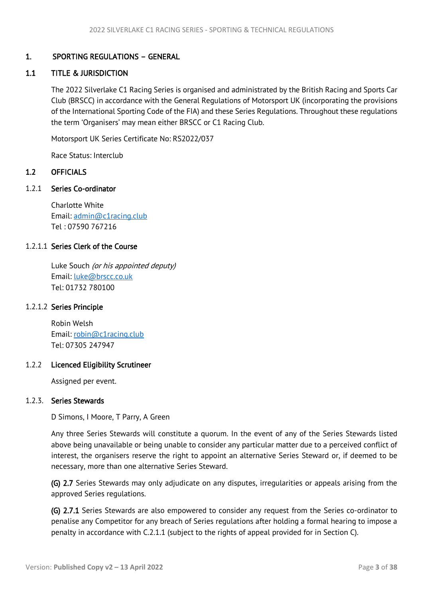# <span id="page-3-3"></span><span id="page-3-0"></span>1. SPORTING REGULATIONS – GENERAL

# <span id="page-3-1"></span>1.1 TITLE & JURISDICTION

The 2022 Silverlake C1 Racing Series is organised and administrated by the British Racing and Sports Car Club (BRSCC) in accordance with the General Regulations of Motorsport UK (incorporating the provisions of the International Sporting Code of the FIA) and these Series Regulations. Throughout these regulations the term 'Organisers' may mean either BRSCC or C1 Racing Club.

Motorsport UK Series Certificate No: RS2022/037

Race Status: Interclub

## <span id="page-3-2"></span>1.2 OFFICIALS

1.2.1 Series Co-ordinator

Charlotte White Email: [admin@c1racing.club](mailto:admin@c1racing.club) Tel : 07590 767216

## 1.2.1.1 Series Clerk of the Course

Luke Souch (or his appointed deputy) Email: [luke@brscc.co.uk](mailto:luke@brscc.co.uk) Tel: 01732 780100

#### 1.2.1.2 Series Principle

 Robin Welsh Email: [robin@c1racing.club](mailto:robin@c1racing.club) Tel: 07305 247947

#### 1.2.2 Licenced Eligibility Scrutineer

Assigned per event.

#### 1.2.3. Series Stewards

D Simons, I Moore, T Parry, A Green

Any three Series Stewards will constitute a quorum. In the event of any of the Series Stewards listed above being unavailable or being unable to consider any particular matter due to a perceived conflict of interest, the organisers reserve the right to appoint an alternative Series Steward or, if deemed to be necessary, more than one alternative Series Steward.

(G) 2.7 Series Stewards may only adjudicate on any disputes, irregularities or appeals arising from the approved Series regulations.

(G) 2.7.1 Series Stewards are also empowered to consider any request from the Series co-ordinator to penalise any Competitor for any breach of Series regulations after holding a formal hearing to impose a penalty in accordance with C.2.1.1 (subject to the rights of appeal provided for in Section C).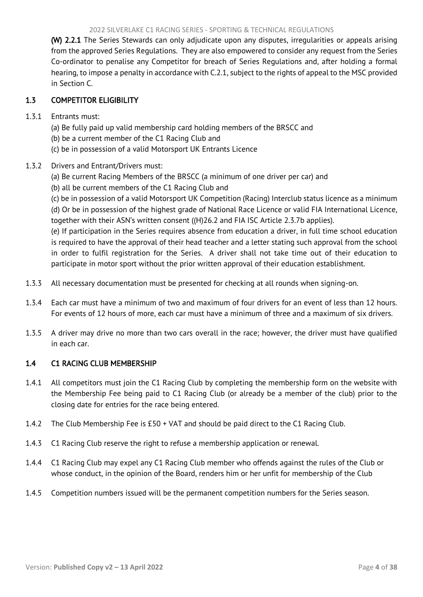#### 2022 SILVERLAKE C1 RACING SERIES - SPORTING & TECHNICAL REGULATIONS

<span id="page-4-2"></span>(W) 2.2.1 The Series Stewards can only adjudicate upon any disputes, irregularities or appeals arising from the approved Series Regulations. They are also empowered to consider any request from the Series Co-ordinator to penalise any Competitor for breach of Series Regulations and, after holding a formal hearing, to impose a penalty in accordance with C.2.1, subject to the rights of appeal to the MSC provided in Section C.

# <span id="page-4-0"></span>1.3 COMPETITOR ELIGIBILITY

## 1.3.1 Entrants must:

- (a) Be fully paid up valid membership card holding members of the BRSCC and
- (b) be a current member of the C1 Racing Club and
- (c) be in possession of a valid Motorsport UK Entrants Licence

## 1.3.2 Drivers and Entrant/Drivers must:

- (a) Be current Racing Members of the BRSCC (a minimum of one driver per car) and
- (b) all be current members of the C1 Racing Club and

(c) be in possession of a valid Motorsport UK Competition (Racing) Interclub status licence as a minimum (d) Or be in possession of the highest grade of National Race Licence or valid FIA International Licence, together with their ASN's written consent ((H)26.2 and FIA ISC Article 2.3.7b applies).

(e) If participation in the Series requires absence from education a driver, in full time school education is required to have the approval of their head teacher and a letter stating such approval from the school in order to fulfil registration for the Series. A driver shall not take time out of their education to participate in motor sport without the prior written approval of their education establishment.

- 1.3.3 All necessary documentation must be presented for checking at all rounds when signing-on.
- 1.3.4 Each car must have a minimum of two and maximum of four drivers for an event of less than 12 hours. For events of 12 hours of more, each car must have a minimum of three and a maximum of six drivers.
- 1.3.5 A driver may drive no more than two cars overall in the race; however, the driver must have qualified in each car.

# <span id="page-4-1"></span>1.4 C1 RACING CLUB MEMBERSHIP

- 1.4.1 All competitors must join the C1 Racing Club by completing the membership form on the website with the Membership Fee being paid to C1 Racing Club (or already be a member of the club) prior to the closing date for entries for the race being entered.
- 1.4.2 The Club Membership Fee is £50 + VAT and should be paid direct to the C1 Racing Club.
- 1.4.3 C1 Racing Club reserve the right to refuse a membership application or renewal.
- 1.4.4 C1 Racing Club may expel any C1 Racing Club member who offends against the rules of the Club or whose conduct, in the opinion of the Board, renders him or her unfit for membership of the Club
- 1.4.5 Competition numbers issued will be the permanent competition numbers for the Series season.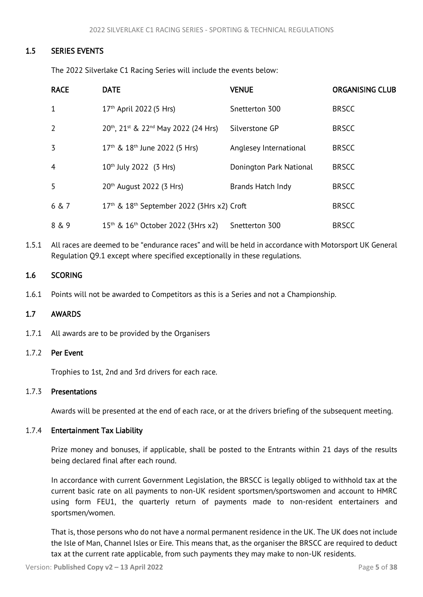## <span id="page-5-3"></span>1.5 SERIES EVENTS

<span id="page-5-0"></span>The 2022 Silverlake C1 Racing Series will include the events below:

| <b>RACE</b>    | <b>DATE</b>                                                        | <b>VENUE</b>            | <b>ORGANISING CLUB</b> |
|----------------|--------------------------------------------------------------------|-------------------------|------------------------|
| 1              | 17 <sup>th</sup> April 2022 (5 Hrs)                                | Snetterton 300          | <b>BRSCC</b>           |
| $\overline{2}$ | 20th, 21st & 22nd May 2022 (24 Hrs)                                | Silverstone GP          | <b>BRSCC</b>           |
| 3              | 17 <sup>th</sup> & 18 <sup>th</sup> June 2022 (5 Hrs)              | Anglesey International  | <b>BRSCC</b>           |
| $\overline{4}$ | $10^{th}$ July 2022 (3 Hrs)                                        | Donington Park National | <b>BRSCC</b>           |
| 5              | 20th August 2022 (3 Hrs)                                           | Brands Hatch Indy       | <b>BRSCC</b>           |
| 6 & 7          | 17 <sup>th</sup> & 18 <sup>th</sup> September 2022 (3Hrs x2) Croft |                         | <b>BRSCC</b>           |
| 8 & 9          | 15 <sup>th</sup> & 16 <sup>th</sup> October 2022 (3Hrs x2)         | Snetterton 300          | <b>BRSCC</b>           |

1.5.1 All races are deemed to be "endurance races" and will be held in accordance with Motorsport UK General Regulation Q9.1 except where specified exceptionally in these regulations.

#### <span id="page-5-1"></span>1.6 SCORING

1.6.1 Points will not be awarded to Competitors as this is a Series and not a Championship.

#### <span id="page-5-2"></span>1.7 AWARDS

1.7.1 All awards are to be provided by the Organisers

#### 1.7.2 Per Event

Trophies to 1st, 2nd and 3rd drivers for each race.

#### 1.7.3 Presentations

Awards will be presented at the end of each race, or at the drivers briefing of the subsequent meeting.

#### 1.7.4 Entertainment Tax Liability

Prize money and bonuses, if applicable, shall be posted to the Entrants within 21 days of the results being declared final after each round.

In accordance with current Government Legislation, the BRSCC is legally obliged to withhold tax at the current basic rate on all payments to non-UK resident sportsmen/sportswomen and account to HMRC using form FEU1, the quarterly return of payments made to non-resident entertainers and sportsmen/women.

That is, those persons who do not have a normal permanent residence in the UK. The UK does not include the Isle of Man, Channel Isles or Eire. This means that, as the organiser the BRSCC are required to deduct tax at the current rate applicable, from such payments they may make to non-UK residents.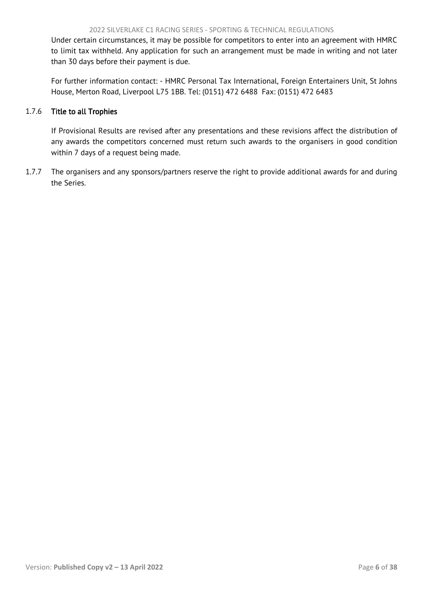Under certain circumstances, it may be possible for competitors to enter into an agreement with HMRC to limit tax withheld. Any application for such an arrangement must be made in writing and not later than 30 days before their payment is due.

For further information contact: - HMRC Personal Tax International, Foreign Entertainers Unit, St Johns House, Merton Road, Liverpool L75 1BB. Tel: (0151) 472 6488 Fax: (0151) 472 6483

## 1.7.6 Title to all Trophies

If Provisional Results are revised after any presentations and these revisions affect the distribution of any awards the competitors concerned must return such awards to the organisers in good condition within 7 days of a request being made.

1.7.7 The organisers and any sponsors/partners reserve the right to provide additional awards for and during the Series.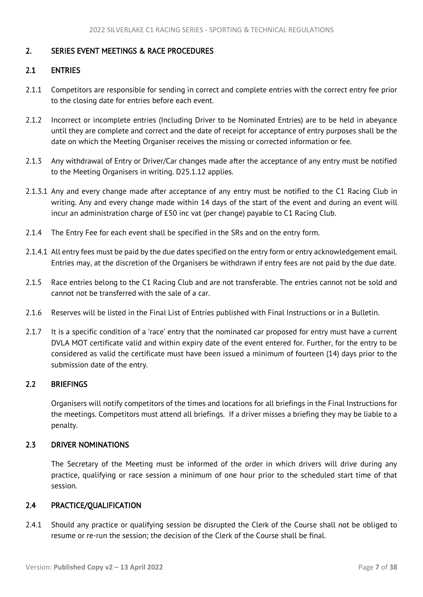# <span id="page-7-5"></span><span id="page-7-0"></span>2. SERIES EVENT MEETINGS & RACE PROCEDURES

## <span id="page-7-1"></span>2.1 ENTRIES

- 2.1.1 Competitors are responsible for sending in correct and complete entries with the correct entry fee prior to the closing date for entries before each event.
- 2.1.2 Incorrect or incomplete entries (Including Driver to be Nominated Entries) are to be held in abeyance until they are complete and correct and the date of receipt for acceptance of entry purposes shall be the date on which the Meeting Organiser receives the missing or corrected information or fee.
- 2.1.3 Any withdrawal of Entry or Driver/Car changes made after the acceptance of any entry must be notified to the Meeting Organisers in writing. D25.1.12 applies.
- 2.1.3.1 Any and every change made after acceptance of any entry must be notified to the C1 Racing Club in writing. Any and every change made within 14 days of the start of the event and during an event will incur an administration charge of £50 inc vat (per change) payable to C1 Racing Club.
- 2.1.4 The Entry Fee for each event shall be specified in the SRs and on the entry form.
- 2.1.4.1 All entry fees must be paid by the due dates specified on the entry form or entry acknowledgement email. Entries may, at the discretion of the Organisers be withdrawn if entry fees are not paid by the due date.
- 2.1.5 Race entries belong to the C1 Racing Club and are not transferable. The entries cannot not be sold and cannot not be transferred with the sale of a car.
- 2.1.6 Reserves will be listed in the Final List of Entries published with Final Instructions or in a Bulletin.
- 2.1.7 It is a specific condition of a 'race' entry that the nominated car proposed for entry must have a current DVLA MOT certificate valid and within expiry date of the event entered for. Further, for the entry to be considered as valid the certificate must have been issued a minimum of fourteen (14) days prior to the submission date of the entry.

# <span id="page-7-2"></span>2.2 BRIEFINGS

Organisers will notify competitors of the times and locations for all briefings in the Final Instructions for the meetings. Competitors must attend all briefings. If a driver misses a briefing they may be liable to a penalty.

#### <span id="page-7-3"></span>2.3 DRIVER NOMINATIONS

The Secretary of the Meeting must be informed of the order in which drivers will drive during any practice, qualifying or race session a minimum of one hour prior to the scheduled start time of that session.

## <span id="page-7-4"></span>2.4 PRACTICE/QUALIFICATION

2.4.1 Should any practice or qualifying session be disrupted the Clerk of the Course shall not be obliged to resume or re-run the session; the decision of the Clerk of the Course shall be final.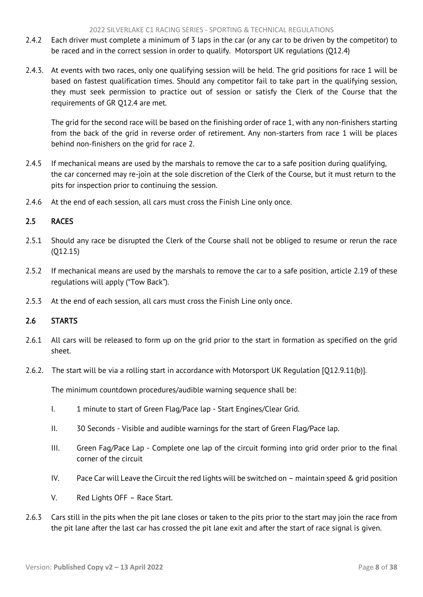- <span id="page-8-2"></span>2.4.2 Each driver must complete a minimum of 3 laps in the car (or any car to be driven by the competitor) to be raced and in the correct session in order to qualify. Motorsport UK regulations (Q12.4)
- 2.4.3. At events with two races, only one qualifying session will be held. The grid positions for race 1 will be based on fastest qualification times. Should any competitor fail to take part in the qualifying session, they must seek permission to practice out of session or satisfy the Clerk of the Course that the requirements of GR Q12.4 are met.

The grid for the second race will be based on the finishing order of race 1, with any non-finishers starting from the back of the grid in reverse order of retirement. Any non-starters from race 1 will be places behind non-finishers on the grid for race 2.

- 2.4.5 If mechanical means are used by the marshals to remove the car to a safe position during qualifying, the car concerned may re-join at the sole discretion of the Clerk of the Course, but it must return to the pits for inspection prior to continuing the session.
- 2.4.6 At the end of each session, all cars must cross the Finish Line only once.

# <span id="page-8-0"></span>2.5 RACES

- 2.5.1 Should any race be disrupted the Clerk of the Course shall not be obliged to resume or rerun the race (Q12.15)
- 2.5.2 If mechanical means are used by the marshals to remove the car to a safe position, article 2.19 of these regulations will apply ("Tow Back").
- 2.5.3 At the end of each session, all cars must cross the Finish Line only once.

#### <span id="page-8-1"></span>2.6 STARTS

- 2.6.1 All cars will be released to form up on the grid prior to the start in formation as specified on the grid sheet.
- 2.6.2. The start will be via a rolling start in accordance with Motorsport UK Regulation [Q12.9.11(b)].

The minimum countdown procedures/audible warning sequence shall be:

- I. 1 minute to start of Green Flag/Pace lap Start Engines/Clear Grid.
- II. 30 Seconds Visible and audible warnings for the start of Green Flag/Pace lap.
- III. Green Fag/Pace Lap Complete one lap of the circuit forming into grid order prior to the final corner of the circuit
- IV. Pace Car will Leave the Circuit the red lights will be switched on maintain speed & grid position
- V. Red Lights OFF Race Start.
- 2.6.3 Cars still in the pits when the pit lane closes or taken to the pits prior to the start may join the race from the pit lane after the last car has crossed the pit lane exit and after the start of race signal is given.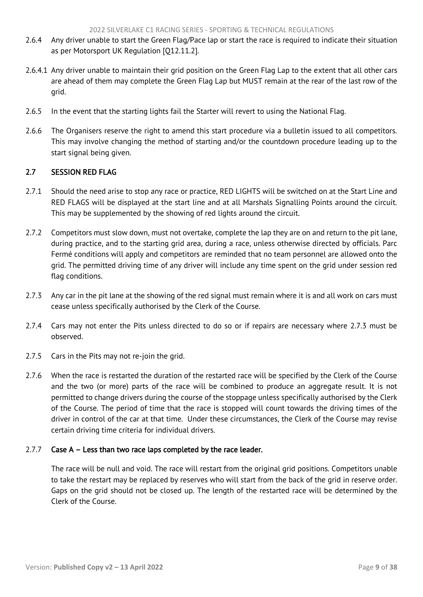- <span id="page-9-1"></span>2.6.4 Any driver unable to start the Green Flag/Pace lap or start the race is required to indicate their situation as per Motorsport UK Regulation [Q12.11.2].
- 2.6.4.1 Any driver unable to maintain their grid position on the Green Flag Lap to the extent that all other cars are ahead of them may complete the Green Flag Lap but MUST remain at the rear of the last row of the grid.
- 2.6.5 In the event that the starting lights fail the Starter will revert to using the National Flag.
- 2.6.6 The Organisers reserve the right to amend this start procedure via a bulletin issued to all competitors. This may involve changing the method of starting and/or the countdown procedure leading up to the start signal being given.

# <span id="page-9-0"></span>2.7 SESSION RED FLAG

- 2.7.1 Should the need arise to stop any race or practice, RED LIGHTS will be switched on at the Start Line and RED FLAGS will be displayed at the start line and at all Marshals Signalling Points around the circuit. This may be supplemented by the showing of red lights around the circuit.
- 2.7.2 Competitors must slow down, must not overtake, complete the lap they are on and return to the pit lane, during practice, and to the starting grid area, during a race, unless otherwise directed by officials. Parc Fermé conditions will apply and competitors are reminded that no team personnel are allowed onto the grid. The permitted driving time of any driver will include any time spent on the grid under session red flag conditions.
- 2.7.3 Any car in the pit lane at the showing of the red signal must remain where it is and all work on cars must cease unless specifically authorised by the Clerk of the Course.
- 2.7.4 Cars may not enter the Pits unless directed to do so or if repairs are necessary where 2.7.3 must be observed.
- 2.7.5 Cars in the Pits may not re-join the grid.
- 2.7.6 When the race is restarted the duration of the restarted race will be specified by the Clerk of the Course and the two (or more) parts of the race will be combined to produce an aggregate result. It is not permitted to change drivers during the course of the stoppage unless specifically authorised by the Clerk of the Course. The period of time that the race is stopped will count towards the driving times of the driver in control of the car at that time. Under these circumstances, the Clerk of the Course may revise certain driving time criteria for individual drivers.

#### 2.7.7 Case A – Less than two race laps completed by the race leader.

The race will be null and void. The race will restart from the original grid positions. Competitors unable to take the restart may be replaced by reserves who will start from the back of the grid in reserve order. Gaps on the grid should not be closed up. The length of the restarted race will be determined by the Clerk of the Course.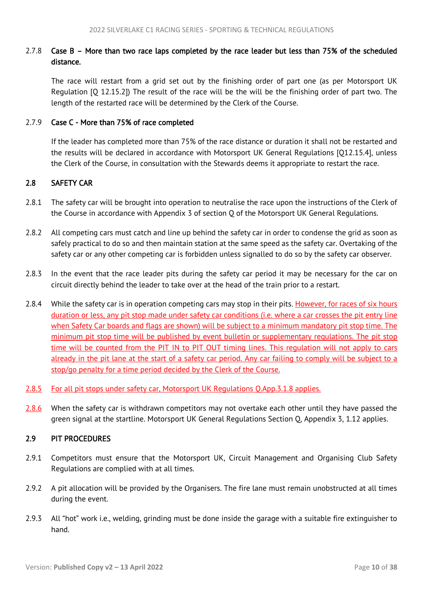# <span id="page-10-2"></span>2.7.8 Case B – More than two race laps completed by the race leader but less than 75% of the scheduled distance.

The race will restart from a grid set out by the finishing order of part one (as per Motorsport UK Regulation [Q 12.15.2]) The result of the race will be the will be the finishing order of part two. The length of the restarted race will be determined by the Clerk of the Course.

## 2.7.9 Case C - More than 75% of race completed

If the leader has completed more than 75% of the race distance or duration it shall not be restarted and the results will be declared in accordance with Motorsport UK General Regulations [Q12.15.4], unless the Clerk of the Course, in consultation with the Stewards deems it appropriate to restart the race.

# <span id="page-10-0"></span>2.8 SAFETY CAR

- 2.8.1 The safety car will be brought into operation to neutralise the race upon the instructions of the Clerk of the Course in accordance with Appendix 3 of section Q of the Motorsport UK General Regulations.
- 2.8.2 All competing cars must catch and line up behind the safety car in order to condense the grid as soon as safely practical to do so and then maintain station at the same speed as the safety car. Overtaking of the safety car or any other competing car is forbidden unless signalled to do so by the safety car observer.
- 2.8.3 In the event that the race leader pits during the safety car period it may be necessary for the car on circuit directly behind the leader to take over at the head of the train prior to a restart.
- 2.8.4 While the safety car is in operation competing cars may stop in their pits. However, for races of six hours duration or less, any pit stop made under safety car conditions (i.e. where a car crosses the pit entry line when Safety Car boards and flags are shown) will be subject to a minimum mandatory pit stop time. The minimum pit stop time will be published by event bulletin or supplementary regulations. The pit stop time will be counted from the PIT IN to PIT OUT timing lines. This regulation will not apply to cars already in the pit lane at the start of a safety car period. Any car failing to comply will be subject to a stop/go penalty for a time period decided by the Clerk of the Course.
- 2.8.5 For all pit stops under safety car, Motorsport UK Regulations Q.App.3.1.8 applies.
- 2.8.6 When the safety car is withdrawn competitors may not overtake each other until they have passed the green signal at the startline. Motorsport UK General Regulations Section Q, Appendix 3, 1.12 applies.

## <span id="page-10-1"></span>2.9 PIT PROCEDURES

- 2.9.1 Competitors must ensure that the Motorsport UK, Circuit Management and Organising Club Safety Regulations are complied with at all times.
- 2.9.2 A pit allocation will be provided by the Organisers. The fire lane must remain unobstructed at all times during the event.
- 2.9.3 All "hot" work i.e., welding, grinding must be done inside the garage with a suitable fire extinguisher to hand.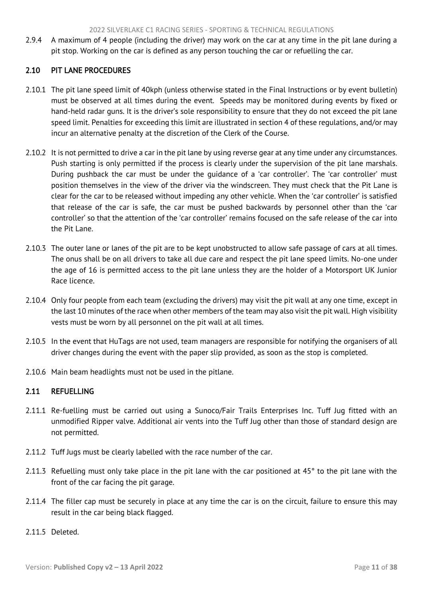<span id="page-11-2"></span><span id="page-11-0"></span>2.9.4 A maximum of 4 people (including the driver) may work on the car at any time in the pit lane during a pit stop. Working on the car is defined as any person touching the car or refuelling the car.

# 2.10 PIT LANE PROCEDURES

- 2.10.1 The pit lane speed limit of 40kph (unless otherwise stated in the Final Instructions or by event bulletin) must be observed at all times during the event. Speeds may be monitored during events by fixed or hand-held radar guns. It is the driver's sole responsibility to ensure that they do not exceed the pit lane speed limit. Penalties for exceeding this limit are illustrated in section 4 of these regulations, and/or may incur an alternative penalty at the discretion of the Clerk of the Course.
- 2.10.2 It is not permitted to drive a car in the pit lane by using reverse gear at any time under any circumstances. Push starting is only permitted if the process is clearly under the supervision of the pit lane marshals. During pushback the car must be under the guidance of a 'car controller'. The 'car controller' must position themselves in the view of the driver via the windscreen. They must check that the Pit Lane is clear for the car to be released without impeding any other vehicle. When the 'car controller' is satisfied that release of the car is safe, the car must be pushed backwards by personnel other than the 'car controller' so that the attention of the 'car controller' remains focused on the safe release of the car into the Pit Lane.
- 2.10.3 The outer lane or lanes of the pit are to be kept unobstructed to allow safe passage of cars at all times. The onus shall be on all drivers to take all due care and respect the pit lane speed limits. No-one under the age of 16 is permitted access to the pit lane unless they are the holder of a Motorsport UK Junior Race licence.
- 2.10.4 Only four people from each team (excluding the drivers) may visit the pit wall at any one time, except in the last 10 minutes of the race when other members of the team may also visit the pit wall. High visibility vests must be worn by all personnel on the pit wall at all times.
- 2.10.5 In the event that HuTags are not used, team managers are responsible for notifying the organisers of all driver changes during the event with the paper slip provided, as soon as the stop is completed.
- 2.10.6 Main beam headlights must not be used in the pitlane.

# <span id="page-11-1"></span>2.11 REFUELLING

- 2.11.1 Re-fuelling must be carried out using a Sunoco/Fair Trails Enterprises Inc. Tuff Jug fitted with an unmodified Ripper valve. Additional air vents into the Tuff Jug other than those of standard design are not permitted.
- 2.11.2 Tuff Jugs must be clearly labelled with the race number of the car.
- 2.11.3 Refuelling must only take place in the pit lane with the car positioned at  $45^\circ$  to the pit lane with the front of the car facing the pit garage.
- 2.11.4 The filler cap must be securely in place at any time the car is on the circuit, failure to ensure this may result in the car being black flagged.
- 2.11.5 Deleted.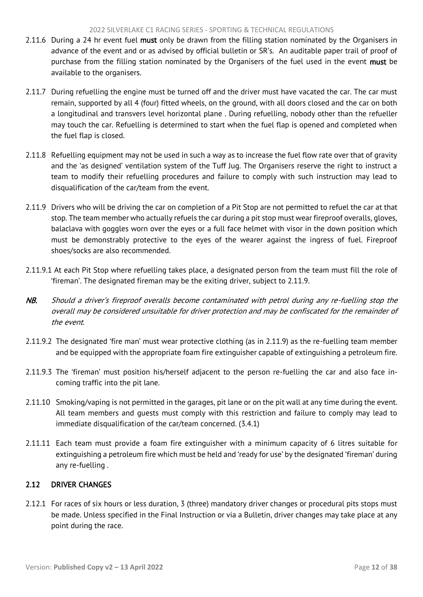- <span id="page-12-1"></span>2.11.6 During a 24 hr event fuel must only be drawn from the filling station nominated by the Organisers in advance of the event and or as advised by official bulletin or SR's. An auditable paper trail of proof of purchase from the filling station nominated by the Organisers of the fuel used in the event must be available to the organisers.
- 2.11.7 During refuelling the engine must be turned off and the driver must have vacated the car. The car must remain, supported by all 4 (four) fitted wheels, on the ground, with all doors closed and the car on both a longitudinal and transvers level horizontal plane . During refuelling, nobody other than the refueller may touch the car. Refuelling is determined to start when the fuel flap is opened and completed when the fuel flap is closed.
- 2.11.8 Refuelling equipment may not be used in such a way as to increase the fuel flow rate over that of gravity and the 'as designed' ventilation system of the Tuff Jug. The Organisers reserve the right to instruct a team to modify their refuelling procedures and failure to comply with such instruction may lead to disqualification of the car/team from the event.
- 2.11.9 Drivers who will be driving the car on completion of a Pit Stop are not permitted to refuel the car at that stop. The team member who actually refuels the car during a pit stop must wear fireproof overalls, gloves, balaclava with goggles worn over the eyes or a full face helmet with visor in the down position which must be demonstrably protective to the eyes of the wearer against the ingress of fuel. Fireproof shoes/socks are also recommended.
- 2.11.9.1 At each Pit Stop where refuelling takes place, a designated person from the team must fill the role of 'fireman'. The designated fireman may be the exiting driver, subject to 2.11.9.
- NB. Should a driver's fireproof overalls become contaminated with petrol during any re-fuelling stop the overall may be considered unsuitable for driver protection and may be confiscated for the remainder of the event.
- 2.11.9.2 The designated 'fire man' must wear protective clothing (as in 2.11.9) as the re-fuelling team member and be equipped with the appropriate foam fire extinguisher capable of extinguishing a petroleum fire.
- 2.11.9.3 The 'fireman' must position his/herself adjacent to the person re-fuelling the car and also face incoming traffic into the pit lane.
- 2.11.10 Smoking/vaping is not permitted in the garages, pit lane or on the pit wall at any time during the event. All team members and guests must comply with this restriction and failure to comply may lead to immediate disqualification of the car/team concerned. (3.4.1)
- 2.11.11 Each team must provide a foam fire extinguisher with a minimum capacity of 6 litres suitable for extinguishing a petroleum fire which must be held and 'ready for use' by the designated 'fireman' during any re-fuelling .

# <span id="page-12-0"></span>2.12 DRIVER CHANGES

2.12.1 For races of six hours or less duration, 3 (three) mandatory driver changes or procedural pits stops must be made. Unless specified in the Final Instruction or via a Bulletin, driver changes may take place at any point during the race.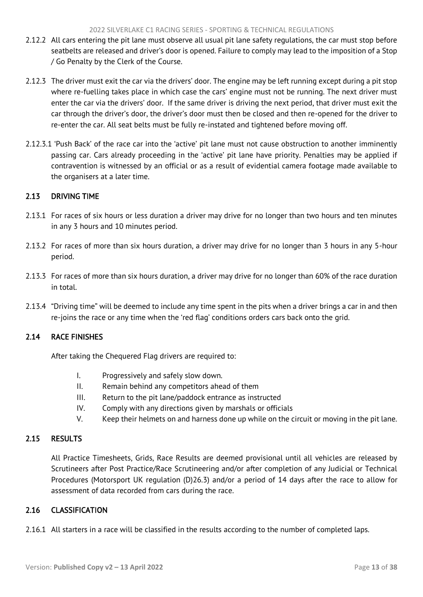- <span id="page-13-5"></span>2.12.2 All cars entering the pit lane must observe all usual pit lane safety regulations, the car must stop before seatbelts are released and driver's door is opened. Failure to comply may lead to the imposition of a Stop / Go Penalty by the Clerk of the Course.
- 2.12.3 The driver must exit the car via the drivers' door. The engine may be left running except during a pit stop where re-fuelling takes place in which case the cars' engine must not be running. The next driver must enter the car via the drivers' door. If the same driver is driving the next period, that driver must exit the car through the driver's door, the driver's door must then be closed and then re-opened for the driver to re-enter the car. All seat belts must be fully re-instated and tightened before moving off.
- 2.12.3.1 'Push Back' of the race car into the 'active' pit lane must not cause obstruction to another imminently passing car. Cars already proceeding in the 'active' pit lane have priority. Penalties may be applied if contravention is witnessed by an official or as a result of evidential camera footage made available to the organisers at a later time.

# <span id="page-13-0"></span>2.13 DRIVING TIME

- 2.13.1 For races of six hours or less duration a driver may drive for no longer than two hours and ten minutes in any 3 hours and 10 minutes period.
- 2.13.2 For races of more than six hours duration, a driver may drive for no longer than 3 hours in any 5-hour period.
- 2.13.3 For races of more than six hours duration, a driver may drive for no longer than 60% of the race duration in total.
- 2.13.4 "Driving time" will be deemed to include any time spent in the pits when a driver brings a car in and then re-joins the race or any time when the 'red flag' conditions orders cars back onto the grid.

# <span id="page-13-1"></span>2.14 RACE FINISHES

After taking the Chequered Flag drivers are required to:

- I. Progressively and safely slow down.
- II. Remain behind any competitors ahead of them
- III. Return to the pit lane/paddock entrance as instructed
- IV. Comply with any directions given by marshals or officials
- V. Keep their helmets on and harness done up while on the circuit or moving in the pit lane.

## <span id="page-13-2"></span>2.15 RESULTS

All Practice Timesheets, Grids, Race Results are deemed provisional until all vehicles are released by Scrutineers after Post Practice/Race Scrutineering and/or after completion of any Judicial or Technical Procedures (Motorsport UK regulation (D)26.3) and/or a period of 14 days after the race to allow for assessment of data recorded from cars during the race.

# <span id="page-13-3"></span>2.16 CLASSIFICATION

<span id="page-13-4"></span>2.16.1 All starters in a race will be classified in the results according to the number of completed laps.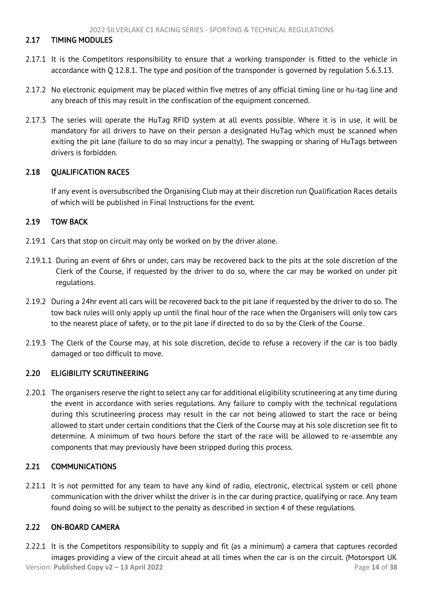## <span id="page-14-5"></span>2.17 TIMING MODULES

- 2.17.1 It is the Competitors responsibility to ensure that a working transponder is fitted to the vehicle in accordance with Q 12.8.1. The type and position of the transponder is governed by regulation 5.6.3.13.
- 2.17.2 No electronic equipment may be placed within five metres of any official timing line or hu-tag line and any breach of this may result in the confiscation of the equipment concerned.
- 2.17.3 The series will operate the HuTag RFID system at all events possible. Where it is in use, it will be mandatory for all drivers to have on their person a designated HuTag which must be scanned when exiting the pit lane (failure to do so may incur a penalty). The swapping or sharing of HuTags between drivers is forbidden.

## <span id="page-14-0"></span>2.18 QUALIFICATION RACES

If any event is oversubscribed the Organising Club may at their discretion run Qualification Races details of which will be published in Final Instructions for the event.

## <span id="page-14-1"></span>2.19 TOW BACK

- 2.19.1 Cars that stop on circuit may only be worked on by the driver alone.
- 2.19.1.1 During an event of 6hrs or under, cars may be recovered back to the pits at the sole discretion of the Clerk of the Course, if requested by the driver to do so, where the car may be worked on under pit regulations.
- 2.19.2 During a 24hr event all cars will be recovered back to the pit lane if requested by the driver to do so. The tow back rules will only apply up until the final hour of the race when the Organisers will only tow cars to the nearest place of safety, or to the pit lane if directed to do so by the Clerk of the Course.
- 2.19.3 The Clerk of the Course may, at his sole discretion, decide to refuse a recovery if the car is too badly damaged or too difficult to move.

#### <span id="page-14-2"></span>2.20 ELIGIBILITY SCRUTINEERING

2.20.1 The organisers reserve the right to select any car for additional eligibility scrutineering at any time during the event in accordance with series regulations. Any failure to comply with the technical regulations during this scrutineering process may result in the car not being allowed to start the race or being allowed to start under certain conditions that the Clerk of the Course may at his sole discretion see fit to determine. A minimum of two hours before the start of the race will be allowed to re-assemble any components that may previously have been stripped during this process.

# <span id="page-14-3"></span>2.21 COMMUNICATIONS

2.21.1 It is not permitted for any team to have any kind of radio, electronic, electrical system or cell phone communication with the driver whilst the driver is in the car during practice, qualifying or race. Any team found doing so will be subject to the penalty as described in section 4 of these regulations.

# <span id="page-14-4"></span>2.22 ON-BOARD CAMERA

Version: **Published Copy v2 – 13 April 2022** Page **14** of **38** 2.22.1 It is the Competitors responsibility to supply and fit (as a minimum) a camera that captures recorded images providing a view of the circuit ahead at all times when the car is on the circuit. (Motorsport UK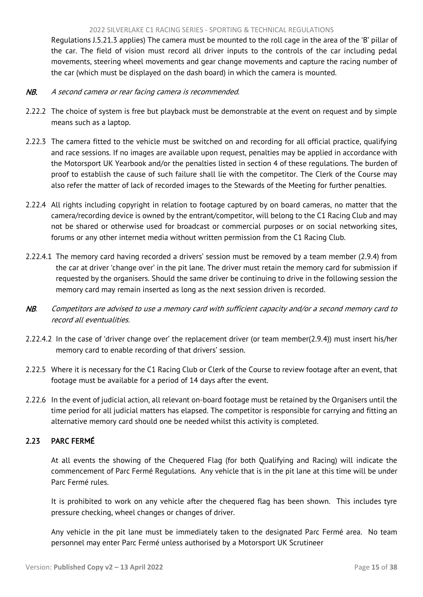<span id="page-15-1"></span>Regulations J.5.21.3 applies) The camera must be mounted to the roll cage in the area of the 'B' pillar of the car. The field of vision must record all driver inputs to the controls of the car including pedal movements, steering wheel movements and gear change movements and capture the racing number of the car (which must be displayed on the dash board) in which the camera is mounted.

- NB. A second camera or rear facing camera is recommended.
- 2.22.2 The choice of system is free but playback must be demonstrable at the event on request and by simple means such as a laptop.
- 2.22.3 The camera fitted to the vehicle must be switched on and recording for all official practice, qualifying and race sessions. If no images are available upon request, penalties may be applied in accordance with the Motorsport UK Yearbook and/or the penalties listed in section 4 of these regulations. The burden of proof to establish the cause of such failure shall lie with the competitor. The Clerk of the Course may also refer the matter of lack of recorded images to the Stewards of the Meeting for further penalties.
- 2.22.4 All rights including copyright in relation to footage captured by on board cameras, no matter that the camera/recording device is owned by the entrant/competitor, will belong to the C1 Racing Club and may not be shared or otherwise used for broadcast or commercial purposes or on social networking sites, forums or any other internet media without written permission from the C1 Racing Club.
- 2.22.4.1 The memory card having recorded a drivers' session must be removed by a team member (2.9.4) from the car at driver 'change over' in the pit lane. The driver must retain the memory card for submission if requested by the organisers. Should the same driver be continuing to drive in the following session the memory card may remain inserted as long as the next session driven is recorded.
- NB. Competitors are advised to use a memory card with sufficient capacity and/or a second memory card to record all eventualities.
- 2.22.4.2 In the case of 'driver change over' the replacement driver (or team member(2.9.4)) must insert his/her memory card to enable recording of that drivers' session.
- 2.22.5 Where it is necessary for the C1 Racing Club or Clerk of the Course to review footage after an event, that footage must be available for a period of 14 days after the event.
- 2.22.6 In the event of judicial action, all relevant on-board footage must be retained by the Organisers until the time period for all judicial matters has elapsed. The competitor is responsible for carrying and fitting an alternative memory card should one be needed whilst this activity is completed.

# <span id="page-15-0"></span>2.23 PARC FERMÉ

At all events the showing of the Chequered Flag (for both Qualifying and Racing) will indicate the commencement of Parc Fermé Regulations. Any vehicle that is in the pit lane at this time will be under Parc Fermé rules.

It is prohibited to work on any vehicle after the chequered flag has been shown. This includes tyre pressure checking, wheel changes or changes of driver.

Any vehicle in the pit lane must be immediately taken to the designated Parc Fermé area. No team personnel may enter Parc Fermé unless authorised by a Motorsport UK Scrutineer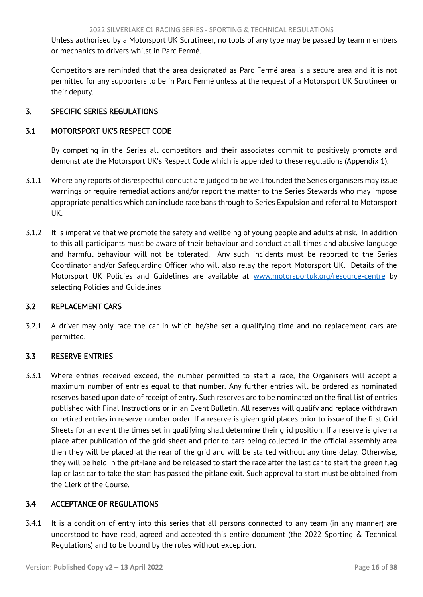<span id="page-16-5"></span>Unless authorised by a Motorsport UK Scrutineer, no tools of any type may be passed by team members or mechanics to drivers whilst in Parc Fermé.

<span id="page-16-0"></span>Competitors are reminded that the area designated as Parc Fermé area is a secure area and it is not permitted for any supporters to be in Parc Fermé unless at the request of a Motorsport UK Scrutineer or their deputy.

# 3. SPECIFIC SERIES REGULATIONS

# <span id="page-16-1"></span>3.1 MOTORSPORT UK'S RESPECT CODE

By competing in the Series all competitors and their associates commit to positively promote and demonstrate the Motorsport UK's Respect Code which is appended to these regulations (Appendix 1).

- 3.1.1 Where any reports of disrespectful conduct are judged to be well founded the Series organisers may issue warnings or require remedial actions and/or report the matter to the Series Stewards who may impose appropriate penalties which can include race bans through to Series Expulsion and referral to Motorsport UK.
- 3.1.2 It is imperative that we promote the safety and wellbeing of young people and adults at risk. In addition to this all participants must be aware of their behaviour and conduct at all times and abusive language and harmful behaviour will not be tolerated. Any such incidents must be reported to the Series Coordinator and/or Safeguarding Officer who will also relay the report Motorsport UK. Details of the Motorsport UK Policies and Guidelines are available at [www.motorsportuk.org/resource-centre](http://www.motorsportuk.org/resource-centre) by selecting Policies and Guidelines

# <span id="page-16-2"></span>3.2 REPLACEMENT CARS

3.2.1 A driver may only race the car in which he/she set a qualifying time and no replacement cars are permitted.

# <span id="page-16-3"></span>3.3 RESERVE ENTRIES

3.3.1 Where entries received exceed, the number permitted to start a race, the Organisers will accept a maximum number of entries equal to that number. Any further entries will be ordered as nominated reserves based upon date of receipt of entry. Such reserves are to be nominated on the final list of entries published with Final Instructions or in an Event Bulletin. All reserves will qualify and replace withdrawn or retired entries in reserve number order. If a reserve is given grid places prior to issue of the first Grid Sheets for an event the times set in qualifying shall determine their grid position. If a reserve is given a place after publication of the grid sheet and prior to cars being collected in the official assembly area then they will be placed at the rear of the grid and will be started without any time delay. Otherwise, they will be held in the pit-lane and be released to start the race after the last car to start the green flag lap or last car to take the start has passed the pitlane exit. Such approval to start must be obtained from the Clerk of the Course.

# <span id="page-16-4"></span>3.4 ACCEPTANCE OF REGULATIONS

3.4.1 It is a condition of entry into this series that all persons connected to any team (in any manner) are understood to have read, agreed and accepted this entire document (the 2022 Sporting & Technical Regulations) and to be bound by the rules without exception.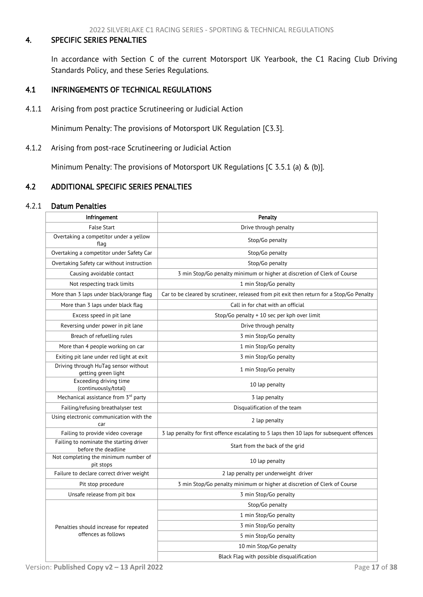## <span id="page-17-3"></span><span id="page-17-0"></span>4. SPECIFIC SERIES PENALTIES

In accordance with Section C of the current Motorsport UK Yearbook, the C1 Racing Club Driving Standards Policy, and these Series Regulations.

## <span id="page-17-1"></span>4.1 INFRINGEMENTS OF TECHNICAL REGULATIONS

4.1.1 Arising from post practice Scrutineering or Judicial Action

Minimum Penalty: The provisions of Motorsport UK Regulation [C3.3].

4.1.2 Arising from post-race Scrutineering or Judicial Action

Minimum Penalty: The provisions of Motorsport UK Regulations [C 3.5.1 (a) & (b)].

## <span id="page-17-2"></span>4.2 ADDITIONAL SPECIFIC SERIES PENALTIES

#### 4.2.1 Datum Penalties

| Infringement                                                   | Penalty                                                                                   |  |
|----------------------------------------------------------------|-------------------------------------------------------------------------------------------|--|
| <b>False Start</b>                                             | Drive through penalty                                                                     |  |
| Overtaking a competitor under a yellow<br>flag                 | Stop/Go penalty                                                                           |  |
| Overtaking a competitor under Safety Car                       | Stop/Go penalty                                                                           |  |
| Overtaking Safety car without instruction                      | Stop/Go penalty                                                                           |  |
| Causing avoidable contact                                      | 3 min Stop/Go penalty minimum or higher at discretion of Clerk of Course                  |  |
| Not respecting track limits                                    | 1 min Stop/Go penalty                                                                     |  |
| More than 3 laps under black/orange flag                       | Car to be cleared by scrutineer, released from pit exit then return for a Stop/Go Penalty |  |
| More than 3 laps under black flag                              | Call in for chat with an official                                                         |  |
| Excess speed in pit lane                                       | Stop/Go penalty + 10 sec per kph over limit                                               |  |
| Reversing under power in pit lane                              | Drive through penalty                                                                     |  |
| Breach of refuelling rules                                     | 3 min Stop/Go penalty                                                                     |  |
| More than 4 people working on car                              | 1 min Stop/Go penalty                                                                     |  |
| Exiting pit lane under red light at exit                       | 3 min Stop/Go penalty                                                                     |  |
| Driving through HuTag sensor without<br>getting green light    | 1 min Stop/Go penalty                                                                     |  |
| Exceeding driving time<br>(continuously/total)                 | 10 lap penalty                                                                            |  |
| Mechanical assistance from 3rd party                           | 3 lap penalty                                                                             |  |
| Failing/refusing breathalyser test                             | Disqualification of the team                                                              |  |
| Using electronic communication with the<br>car                 | 2 lap penalty                                                                             |  |
| Failing to provide video coverage                              | 3 lap penalty for first offence escalating to 5 laps then 10 laps for subsequent offences |  |
| Failing to nominate the starting driver<br>before the deadline | Start from the back of the grid                                                           |  |
| Not completing the minimum number of<br>pit stops              | 10 lap penalty                                                                            |  |
| Failure to declare correct driver weight                       | 2 lap penalty per underweight driver                                                      |  |
| Pit stop procedure                                             | 3 min Stop/Go penalty minimum or higher at discretion of Clerk of Course                  |  |
| Unsafe release from pit box                                    | 3 min Stop/Go penalty                                                                     |  |
|                                                                | Stop/Go penalty                                                                           |  |
|                                                                | 1 min Stop/Go penalty                                                                     |  |
| Penalties should increase for repeated                         | 3 min Stop/Go penalty                                                                     |  |
| offences as follows                                            | 5 min Stop/Go penalty                                                                     |  |
|                                                                | 10 min Stop/Go penalty                                                                    |  |
|                                                                | Black Flag with possible disqualification                                                 |  |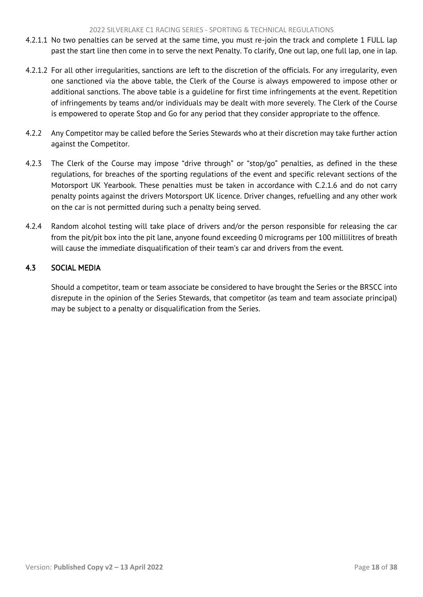- <span id="page-18-1"></span>4.2.1.1 No two penalties can be served at the same time, you must re-join the track and complete 1 FULL lap past the start line then come in to serve the next Penalty. To clarify, One out lap, one full lap, one in lap.
- 4.2.1.2 For all other irregularities, sanctions are left to the discretion of the officials. For any irregularity, even one sanctioned via the above table, the Clerk of the Course is always empowered to impose other or additional sanctions. The above table is a guideline for first time infringements at the event. Repetition of infringements by teams and/or individuals may be dealt with more severely. The Clerk of the Course is empowered to operate Stop and Go for any period that they consider appropriate to the offence.
- 4.2.2 Any Competitor may be called before the Series Stewards who at their discretion may take further action against the Competitor.
- 4.2.3 The Clerk of the Course may impose "drive through" or "stop/go" penalties, as defined in the these regulations, for breaches of the sporting regulations of the event and specific relevant sections of the Motorsport UK Yearbook. These penalties must be taken in accordance with C.2.1.6 and do not carry penalty points against the drivers Motorsport UK licence. Driver changes, refuelling and any other work on the car is not permitted during such a penalty being served.
- 4.2.4 Random alcohol testing will take place of drivers and/or the person responsible for releasing the car from the pit/pit box into the pit lane, anyone found exceeding 0 micrograms per 100 millilitres of breath will cause the immediate disqualification of their team's car and drivers from the event.

# <span id="page-18-0"></span>4.3 SOCIAL MEDIA

Should a competitor, team or team associate be considered to have brought the Series or the BRSCC into disrepute in the opinion of the Series Stewards, that competitor (as team and team associate principal) may be subject to a penalty or disqualification from the Series.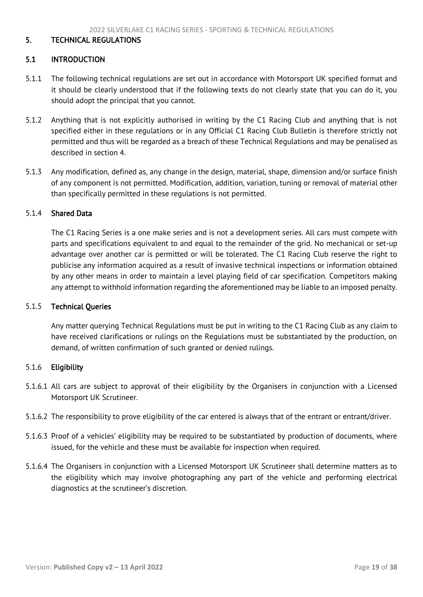#### <span id="page-19-2"></span><span id="page-19-0"></span>5. TECHNICAL REGULATIONS

#### <span id="page-19-1"></span>5.1 INTRODUCTION

- 5.1.1 The following technical regulations are set out in accordance with Motorsport UK specified format and it should be clearly understood that if the following texts do not clearly state that you can do it, you should adopt the principal that you cannot.
- 5.1.2 Anything that is not explicitly authorised in writing by the C1 Racing Club and anything that is not specified either in these regulations or in any Official C1 Racing Club Bulletin is therefore strictly not permitted and thus will be regarded as a breach of these Technical Regulations and may be penalised as described in section 4.
- 5.1.3 Any modification, defined as, any change in the design, material, shape, dimension and/or surface finish of any component is not permitted. Modification, addition, variation, tuning or removal of material other than specifically permitted in these regulations is not permitted.

#### 5.1.4 Shared Data

The C1 Racing Series is a one make series and is not a development series. All cars must compete with parts and specifications equivalent to and equal to the remainder of the grid. No mechanical or set-up advantage over another car is permitted or will be tolerated. The C1 Racing Club reserve the right to publicise any information acquired as a result of invasive technical inspections or information obtained by any other means in order to maintain a level playing field of car specification. Competitors making any attempt to withhold information regarding the aforementioned may be liable to an imposed penalty.

#### 5.1.5 Technical Queries

Any matter querying Technical Regulations must be put in writing to the C1 Racing Club as any claim to have received clarifications or rulings on the Regulations must be substantiated by the production, on demand, of written confirmation of such granted or denied rulings.

#### 5.1.6 Eligibility

- 5.1.6.1 All cars are subject to approval of their eligibility by the Organisers in conjunction with a Licensed Motorsport UK Scrutineer.
- 5.1.6.2 The responsibility to prove eligibility of the car entered is always that of the entrant or entrant/driver.
- 5.1.6.3 Proof of a vehicles' eligibility may be required to be substantiated by production of documents, where issued, for the vehicle and these must be available for inspection when required.
- 5.1.6.4 The Organisers in conjunction with a Licensed Motorsport UK Scrutineer shall determine matters as to the eligibility which may involve photographing any part of the vehicle and performing electrical diagnostics at the scrutineer's discretion.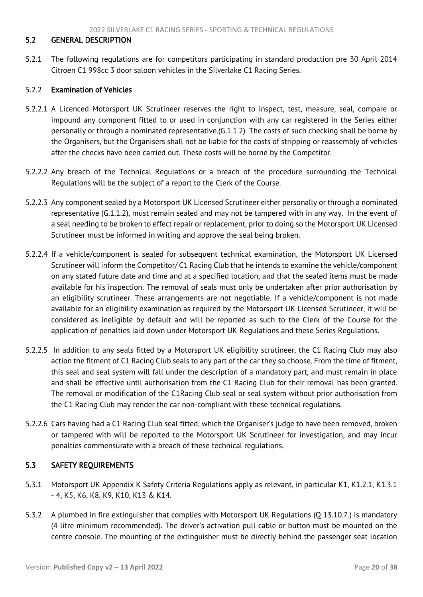## <span id="page-20-2"></span><span id="page-20-0"></span>5.2 GENERAL DESCRIPTION

5.2.1 The following regulations are for competitors participating in standard production pre 30 April 2014 Citroen C1 998cc 3 door saloon vehicles in the Silverlake C1 Racing Series.

#### 5.2.2 Examination of Vehicles

- 5.2.2.1 A Licenced Motorsport UK Scrutineer reserves the right to inspect, test, measure, seal, compare or impound any component fitted to or used in conjunction with any car registered in the Series either personally or through a nominated representative.(G.1.1.2) The costs of such checking shall be borne by the Organisers, but the Organisers shall not be liable for the costs of stripping or reassembly of vehicles after the checks have been carried out. These costs will be borne by the Competitor.
- 5.2.2.2 Any breach of the Technical Regulations or a breach of the procedure surrounding the Technical Regulations will be the subject of a report to the Clerk of the Course.
- 5.2.2.3 Any component sealed by a Motorsport UK Licensed Scrutineer either personally or through a nominated representative (G.1.1.2), must remain sealed and may not be tampered with in any way. In the event of a seal needing to be broken to effect repair or replacement, prior to doing so the Motorsport UK Licensed Scrutineer must be informed in writing and approve the seal being broken.
- 5.2.2.4 If a vehicle/component is sealed for subsequent technical examination, the Motorsport UK Licensed Scrutineer will inform the Competitor/ C1 Racing Club that he intends to examine the vehicle/component on any stated future date and time and at a specified location, and that the sealed items must be made available for his inspection. The removal of seals must only be undertaken after prior authorisation by an eligibility scrutineer. These arrangements are not negotiable. If a vehicle/component is not made available for an eligibility examination as required by the Motorsport UK Licensed Scrutineer, it will be considered as ineligible by default and will be reported as such to the Clerk of the Course for the application of penalties laid down under Motorsport UK Regulations and these Series Regulations.
- 5.2.2.5 In addition to any seals fitted by a Motorsport UK eligibility scrutineer, the C1 Racing Club may also action the fitment of C1 Racing Club seals to any part of the car they so choose. From the time of fitment, this seal and seal system will fall under the description of a mandatory part, and must remain in place and shall be effective until authorisation from the C1 Racing Club for their removal has been granted. The removal or modification of the C1Racing Club seal or seal system without prior authorisation from the C1 Racing Club may render the car non-compliant with these technical regulations.
- 5.2.2.6 Cars having had a C1 Racing Club seal fitted, which the Organiser's judge to have been removed, broken or tampered with will be reported to the Motorsport UK Scrutineer for investigation, and may incur penalties commensurate with a breach of these technical regulations.

## <span id="page-20-1"></span>5.3 SAFETY REQUIREMENTS

- 5.3.1 Motorsport UK Appendix K Safety Criteria Regulations apply as relevant, in particular K1, K1.2.1, K1.3.1 - 4, K5, K6, K8, K9, K10, K13 & K14.
- 5.3.2 A plumbed in fire extinguisher that complies with Motorsport UK Regulations (Q 13.10.7.) is mandatory (4 litre minimum recommended). The driver's activation pull cable or button must be mounted on the centre console. The mounting of the extinguisher must be directly behind the passenger seat location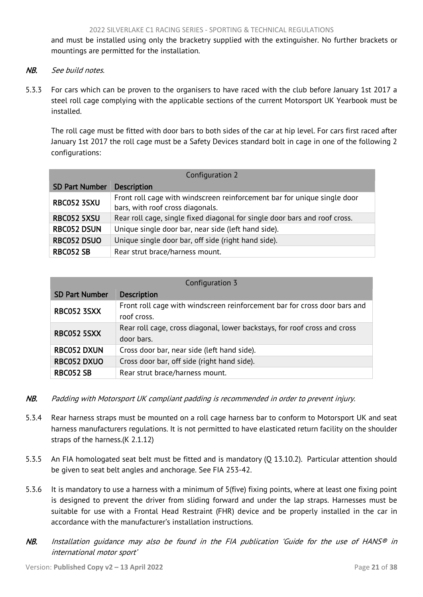and must be installed using only the bracketry supplied with the extinguisher. No further brackets or mountings are permitted for the installation.

- NB. See build notes.
- 5.3.3 For cars which can be proven to the organisers to have raced with the club before January 1st 2017 a steel roll cage complying with the applicable sections of the current Motorsport UK Yearbook must be installed.

The roll cage must be fitted with door bars to both sides of the car at hip level. For cars first raced after January 1st 2017 the roll cage must be a Safety Devices standard bolt in cage in one of the following 2 configurations:

| Configuration 2                                                           |                                                                            |  |  |
|---------------------------------------------------------------------------|----------------------------------------------------------------------------|--|--|
| <b>SD Part Number</b>                                                     | <b>Description</b>                                                         |  |  |
| <b>RBC052 3SXU</b>                                                        | Front roll cage with windscreen reinforcement bar for unique single door   |  |  |
|                                                                           | bars, with roof cross diagonals.                                           |  |  |
| RBC052 5XSU                                                               | Rear roll cage, single fixed diagonal for single door bars and roof cross. |  |  |
| <b>RBC052 DSUN</b><br>Unique single door bar, near side (left hand side). |                                                                            |  |  |
| <b>RBC052 DSUO</b><br>Unique single door bar, off side (right hand side). |                                                                            |  |  |
| <b>RBC052 SB</b>                                                          | Rear strut brace/harness mount.                                            |  |  |

| Configuration 3                                                   |                                                                                          |  |
|-------------------------------------------------------------------|------------------------------------------------------------------------------------------|--|
| <b>SD Part Number</b>                                             | <b>Description</b>                                                                       |  |
| <b>RBC052 3SXX</b>                                                | Front roll cage with windscreen reinforcement bar for cross door bars and<br>roof cross. |  |
| RBC052 5SXX                                                       | Rear roll cage, cross diagonal, lower backstays, for roof cross and cross<br>door bars.  |  |
| <b>RBC052 DXUN</b><br>Cross door bar, near side (left hand side). |                                                                                          |  |
| <b>RBC052 DXUO</b>                                                | Cross door bar, off side (right hand side).                                              |  |
| <b>RBC052 SB</b>                                                  | Rear strut brace/harness mount.                                                          |  |

- NB. Padding with Motorsport UK compliant padding is recommended in order to prevent injury.
- 5.3.4 Rear harness straps must be mounted on a roll cage harness bar to conform to Motorsport UK and seat harness manufacturers regulations. It is not permitted to have elasticated return facility on the shoulder straps of the harness.(K 2.1.12)
- 5.3.5 An FIA homologated seat belt must be fitted and is mandatory (Q 13.10.2). Particular attention should be given to seat belt angles and anchorage. See FIA 253-42.
- 5.3.6 It is mandatory to use a harness with a minimum of 5(five) fixing points, where at least one fixing point is designed to prevent the driver from sliding forward and under the lap straps. Harnesses must be suitable for use with a Frontal Head Restraint (FHR) device and be properly installed in the car in accordance with the manufacturer's installation instructions.
- NB. Installation quidance may also be found in the FIA publication 'Guide for the use of HANS<sup>®</sup> in international motor sport'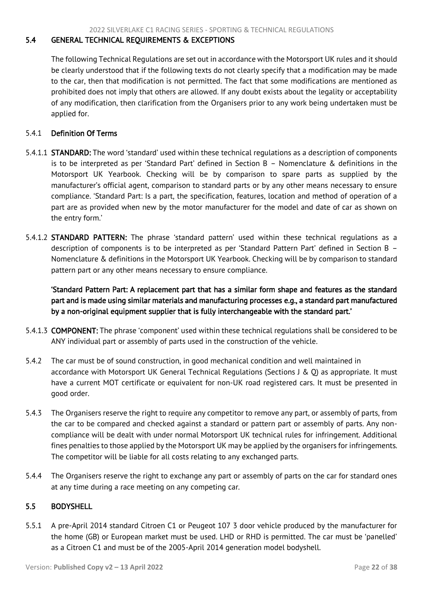## <span id="page-22-2"></span><span id="page-22-0"></span>5.4 GENERAL TECHNICAL REQUIREMENTS & EXCEPTIONS

The following Technical Regulations are set out in accordance with the Motorsport UK rules and it should be clearly understood that if the following texts do not clearly specify that a modification may be made to the car, then that modification is not permitted. The fact that some modifications are mentioned as prohibited does not imply that others are allowed. If any doubt exists about the legality or acceptability of any modification, then clarification from the Organisers prior to any work being undertaken must be applied for.

## 5.4.1 Definition Of Terms

- 5.4.1.1 STANDARD: The word 'standard' used within these technical regulations as a description of components is to be interpreted as per 'Standard Part' defined in Section B – Nomenclature & definitions in the Motorsport UK Yearbook. Checking will be by comparison to spare parts as supplied by the manufacturer's official agent, comparison to standard parts or by any other means necessary to ensure compliance. 'Standard Part: Is a part, the specification, features, location and method of operation of a part are as provided when new by the motor manufacturer for the model and date of car as shown on the entry form.'
- 5.4.1.2 STANDARD PATTERN: The phrase 'standard pattern' used within these technical regulations as a description of components is to be interpreted as per 'Standard Pattern Part' defined in Section B – Nomenclature & definitions in the Motorsport UK Yearbook. Checking will be by comparison to standard pattern part or any other means necessary to ensure compliance.

'Standard Pattern Part: A replacement part that has a similar form shape and features as the standard part and is made using similar materials and manufacturing processes e.g., a standard part manufactured by a non-original equipment supplier that is fully interchangeable with the standard part.'

- 5.4.1.3 COMPONENT: The phrase 'component' used within these technical regulations shall be considered to be ANY individual part or assembly of parts used in the construction of the vehicle.
- 5.4.2 The car must be of sound construction, in good mechanical condition and well maintained in accordance with Motorsport UK General Technical Regulations (Sections J & Q) as appropriate. It must have a current MOT certificate or equivalent for non-UK road registered cars. It must be presented in good order.
- 5.4.3 The Organisers reserve the right to require any competitor to remove any part, or assembly of parts, from the car to be compared and checked against a standard or pattern part or assembly of parts. Any noncompliance will be dealt with under normal Motorsport UK technical rules for infringement. Additional fines penalties to those applied by the Motorsport UK may be applied by the organisers for infringements. The competitor will be liable for all costs relating to any exchanged parts.
- 5.4.4 The Organisers reserve the right to exchange any part or assembly of parts on the car for standard ones at any time during a race meeting on any competing car.

#### <span id="page-22-1"></span>5.5 BODYSHELL

5.5.1 A pre-April 2014 standard Citroen C1 or Peugeot 107 3 door vehicle produced by the manufacturer for the home (GB) or European market must be used. LHD or RHD is permitted. The car must be 'panelled' as a Citroen C1 and must be of the 2005-April 2014 generation model bodyshell.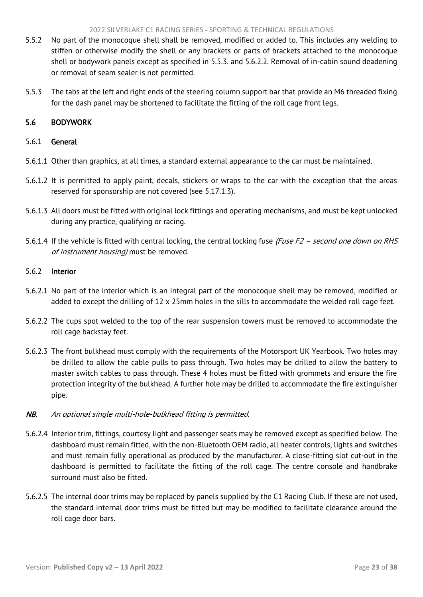- <span id="page-23-1"></span>5.5.2 No part of the monocoque shell shall be removed, modified or added to. This includes any welding to stiffen or otherwise modify the shell or any brackets or parts of brackets attached to the monocoque shell or bodywork panels except as specified in 5.5.3. and 5.6.2.2. Removal of in-cabin sound deadening or removal of seam sealer is not permitted.
- 5.5.3 The tabs at the left and right ends of the steering column support bar that provide an M6 threaded fixing for the dash panel may be shortened to facilitate the fitting of the roll cage front legs.

# <span id="page-23-0"></span>5.6 BODYWORK

## 5.6.1 General

- 5.6.1.1 Other than graphics, at all times, a standard external appearance to the car must be maintained.
- 5.6.1.2 It is permitted to apply paint, decals, stickers or wraps to the car with the exception that the areas reserved for sponsorship are not covered (see 5.17.1.3).
- 5.6.1.3 All doors must be fitted with original lock fittings and operating mechanisms, and must be kept unlocked during any practice, qualifying or racing.
- 5.6.1.4 If the vehicle is fitted with central locking, the central locking fuse (Fuse F2 second one down on RHS of instrument housing) must be removed.

#### 5.6.2 Interior

- 5.6.2.1 No part of the interior which is an integral part of the monocoque shell may be removed, modified or added to except the drilling of 12 x 25mm holes in the sills to accommodate the welded roll cage feet.
- 5.6.2.2 The cups spot welded to the top of the rear suspension towers must be removed to accommodate the roll cage backstay feet.
- 5.6.2.3 The front bulkhead must comply with the requirements of the Motorsport UK Yearbook. Two holes may be drilled to allow the cable pulls to pass through. Two holes may be drilled to allow the battery to master switch cables to pass through. These 4 holes must be fitted with grommets and ensure the fire protection integrity of the bulkhead. A further hole may be drilled to accommodate the fire extinguisher pipe.

# NB. An optional single multi-hole-bulkhead fitting is permitted.

- 5.6.2.4 Interior trim, fittings, courtesy light and passenger seats may be removed except as specified below. The dashboard must remain fitted, with the non-Bluetooth OEM radio, all heater controls, lights and switches and must remain fully operational as produced by the manufacturer. A close-fitting slot cut-out in the dashboard is permitted to facilitate the fitting of the roll cage. The centre console and handbrake surround must also be fitted.
- 5.6.2.5 The internal door trims may be replaced by panels supplied by the C1 Racing Club. If these are not used, the standard internal door trims must be fitted but may be modified to facilitate clearance around the roll cage door bars.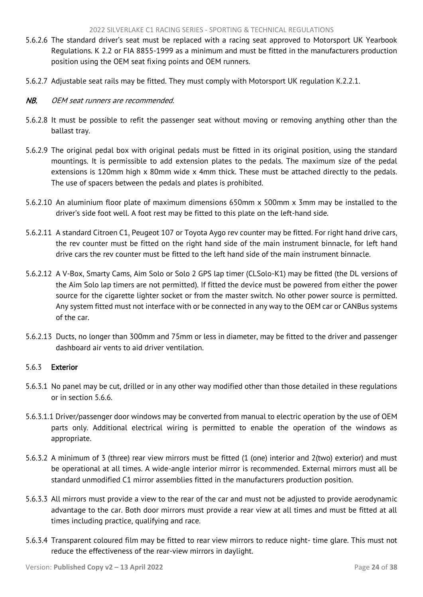- 5.6.2.6 The standard driver's seat must be replaced with a racing seat approved to Motorsport UK Yearbook Regulations. K 2.2 or FIA 8855-1999 as a minimum and must be fitted in the manufacturers production position using the OEM seat fixing points and OEM runners.
- 5.6.2.7 Adjustable seat rails may be fitted. They must comply with Motorsport UK regulation K.2.2.1.
- NB. OEM seat runners are recommended.
- 5.6.2.8 It must be possible to refit the passenger seat without moving or removing anything other than the ballast tray.
- 5.6.2.9 The original pedal box with original pedals must be fitted in its original position, using the standard mountings. It is permissible to add extension plates to the pedals. The maximum size of the pedal extensions is 120mm high x 80mm wide x 4mm thick. These must be attached directly to the pedals. The use of spacers between the pedals and plates is prohibited.
- 5.6.2.10 An aluminium floor plate of maximum dimensions 650mm x 500mm x 3mm may be installed to the driver's side foot well. A foot rest may be fitted to this plate on the left-hand side.
- 5.6.2.11 A standard Citroen C1, Peugeot 107 or Toyota Aygo rev counter may be fitted. For right hand drive cars, the rev counter must be fitted on the right hand side of the main instrument binnacle, for left hand drive cars the rev counter must be fitted to the left hand side of the main instrument binnacle.
- 5.6.2.12 A V-Box, Smarty Cams, Aim Solo or Solo 2 GPS lap timer (CLSolo-K1) may be fitted (the DL versions of the Aim Solo lap timers are not permitted). If fitted the device must be powered from either the power source for the cigarette lighter socket or from the master switch. No other power source is permitted. Any system fitted must not interface with or be connected in any way to the OEM car or CANBus systems of the car.
- 5.6.2.13 Ducts, no longer than 300mm and 75mm or less in diameter, may be fitted to the driver and passenger dashboard air vents to aid driver ventilation.

# 5.6.3 Exterior

- 5.6.3.1 No panel may be cut, drilled or in any other way modified other than those detailed in these regulations or in section 5.6.6.
- 5.6.3.1.1 Driver/passenger door windows may be converted from manual to electric operation by the use of OEM parts only. Additional electrical wiring is permitted to enable the operation of the windows as appropriate.
- 5.6.3.2 A minimum of 3 (three) rear view mirrors must be fitted (1 (one) interior and 2(two) exterior) and must be operational at all times. A wide-angle interior mirror is recommended. External mirrors must all be standard unmodified C1 mirror assemblies fitted in the manufacturers production position.
- 5.6.3.3 All mirrors must provide a view to the rear of the car and must not be adjusted to provide aerodynamic advantage to the car. Both door mirrors must provide a rear view at all times and must be fitted at all times including practice, qualifying and race.
- 5.6.3.4 Transparent coloured film may be fitted to rear view mirrors to reduce night- time glare. This must not reduce the effectiveness of the rear-view mirrors in daylight.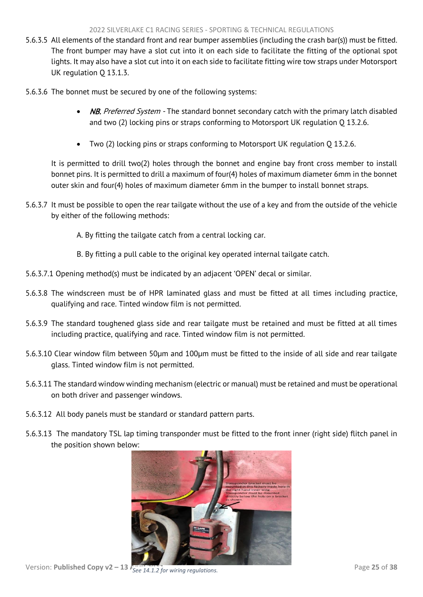- 5.6.3.5 All elements of the standard front and rear bumper assemblies (including the crash bar(s)) must be fitted. The front bumper may have a slot cut into it on each side to facilitate the fitting of the optional spot lights. It may also have a slot cut into it on each side to facilitate fitting wire tow straps under Motorsport UK regulation Q 13.1.3.
- 5.6.3.6 The bonnet must be secured by one of the following systems:
	- NB. Preferred System The standard bonnet secondary catch with the primary latch disabled and two (2) locking pins or straps conforming to Motorsport UK regulation Q 13.2.6.
	- Two (2) locking pins or straps conforming to Motorsport UK regulation Q 13.2.6.

It is permitted to drill two(2) holes through the bonnet and engine bay front cross member to install bonnet pins. It is permitted to drill a maximum of four(4) holes of maximum diameter 6mm in the bonnet outer skin and four(4) holes of maximum diameter 6mm in the bumper to install bonnet straps.

- 5.6.3.7 It must be possible to open the rear tailgate without the use of a key and from the outside of the vehicle by either of the following methods:
	- A. By fitting the tailgate catch from a central locking car.
	- B. By fitting a pull cable to the original key operated internal tailgate catch.
- 5.6.3.7.1 Opening method(s) must be indicated by an adjacent 'OPEN' decal or similar.
- 5.6.3.8 The windscreen must be of HPR laminated glass and must be fitted at all times including practice, qualifying and race. Tinted window film is not permitted.
- 5.6.3.9 The standard toughened glass side and rear tailgate must be retained and must be fitted at all times including practice, qualifying and race. Tinted window film is not permitted.
- 5.6.3.10 Clear window film between 50μm and 100μm must be fitted to the inside of all side and rear tailgate glass. Tinted window film is not permitted.
- 5.6.3.11 The standard window winding mechanism (electric or manual) must be retained and must be operational on both driver and passenger windows.
- 5.6.3.12 All body panels must be standard or standard pattern parts.
- 5.6.3.13 The mandatory TSL lap timing transponder must be fitted to the front inner (right side) flitch panel in the position shown below:



Version: **Published Copy v2 – 13**  $\overline{f_{See}}$  14.1.2 for wiring regulations. Page 25 of 38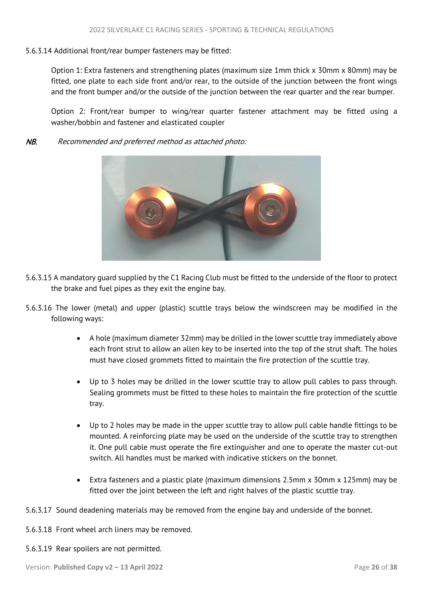## 5.6.3.14 Additional front/rear bumper fasteners may be fitted:

Option 1: Extra fasteners and strengthening plates (maximum size 1mm thick x 30mm x 80mm) may be fitted, one plate to each side front and/or rear, to the outside of the junction between the front wings and the front bumper and/or the outside of the junction between the rear quarter and the rear bumper.

Option 2: Front/rear bumper to wing/rear quarter fastener attachment may be fitted using a washer/bobbin and fastener and elasticated coupler

NB. Recommended and preferred method as attached photo:



- 5.6.3.15 A mandatory guard supplied by the C1 Racing Club must be fitted to the underside of the floor to protect the brake and fuel pipes as they exit the engine bay.
- 5.6.3.16 The lower (metal) and upper (plastic) scuttle trays below the windscreen may be modified in the following ways:
	- A hole (maximum diameter 32mm) may be drilled in the lower scuttle tray immediately above each front strut to allow an allen key to be inserted into the top of the strut shaft. The holes must have closed grommets fitted to maintain the fire protection of the scuttle tray.
	- Up to 3 holes may be drilled in the lower scuttle tray to allow pull cables to pass through. Sealing grommets must be fitted to these holes to maintain the fire protection of the scuttle tray.
	- Up to 2 holes may be made in the upper scuttle tray to allow pull cable handle fittings to be mounted. A reinforcing plate may be used on the underside of the scuttle tray to strengthen it. One pull cable must operate the fire extinguisher and one to operate the master cut-out switch. All handles must be marked with indicative stickers on the bonnet.
	- Extra fasteners and a plastic plate (maximum dimensions 2.5mm x 30mm x 125mm) may be fitted over the joint between the left and right halves of the plastic scuttle tray.
- 5.6.3.17 Sound deadening materials may be removed from the engine bay and underside of the bonnet.
- 5.6.3.18 Front wheel arch liners may be removed.
- 5.6.3.19 Rear spoilers are not permitted.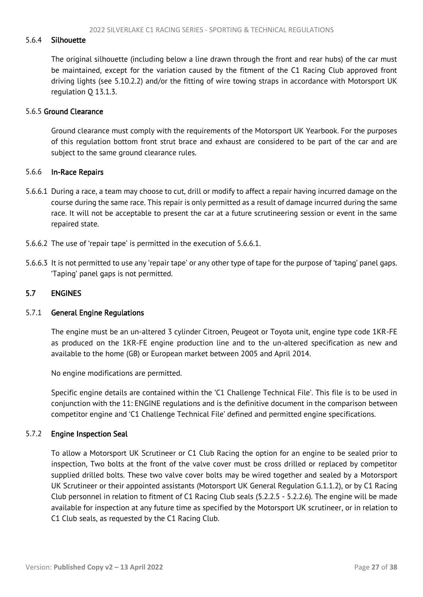#### <span id="page-27-1"></span>5.6.4 Silhouette

The original silhouette (including below a line drawn through the front and rear hubs) of the car must be maintained, except for the variation caused by the fitment of the C1 Racing Club approved front driving lights (see 5.10.2.2) and/or the fitting of wire towing straps in accordance with Motorsport UK regulation Q 13.1.3.

#### 5.6.5 Ground Clearance

Ground clearance must comply with the requirements of the Motorsport UK Yearbook. For the purposes of this regulation bottom front strut brace and exhaust are considered to be part of the car and are subject to the same ground clearance rules.

#### 5.6.6 In-Race Repairs

- 5.6.6.1 During a race, a team may choose to cut, drill or modify to affect a repair having incurred damage on the course during the same race. This repair is only permitted as a result of damage incurred during the same race. It will not be acceptable to present the car at a future scrutineering session or event in the same repaired state.
- 5.6.6.2 The use of 'repair tape' is permitted in the execution of 5.6.6.1.
- 5.6.6.3 It is not permitted to use any 'repair tape' or any other type of tape for the purpose of 'taping' panel gaps. 'Taping' panel gaps is not permitted.

#### <span id="page-27-0"></span>5.7 ENGINES

#### 5.7.1 General Engine Regulations

The engine must be an un-altered 3 cylinder Citroen, Peugeot or Toyota unit, engine type code 1KR-FE as produced on the 1KR-FE engine production line and to the un-altered specification as new and available to the home (GB) or European market between 2005 and April 2014.

No engine modifications are permitted.

Specific engine details are contained within the 'C1 Challenge Technical File'. This file is to be used in conjunction with the 11: ENGINE regulations and is the definitive document in the comparison between competitor engine and 'C1 Challenge Technical File' defined and permitted engine specifications.

#### 5.7.2 Engine Inspection Seal

To allow a Motorsport UK Scrutineer or C1 Club Racing the option for an engine to be sealed prior to inspection, Two bolts at the front of the valve cover must be cross drilled or replaced by competitor supplied drilled bolts. These two valve cover bolts may be wired together and sealed by a Motorsport UK Scrutineer or their appointed assistants (Motorsport UK General Regulation G.1.1.2), or by C1 Racing Club personnel in relation to fitment of C1 Racing Club seals (5.2.2.5 - 5.2.2.6). The engine will be made available for inspection at any future time as specified by the Motorsport UK scrutineer, or in relation to C1 Club seals, as requested by the C1 Racing Club.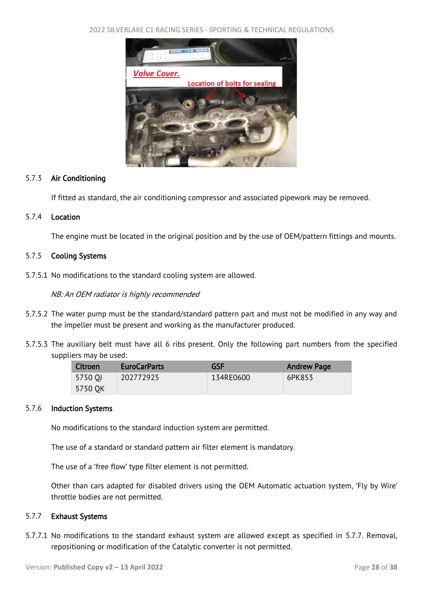2022 SILVERLAKE C1 RACING SERIES - SPORTING & TECHNICAL REGULATIONS



#### 5.7.3 Air Conditioning

If fitted as standard, the air conditioning compressor and associated pipework may be removed.

## 5.7.4 Location

The engine must be located in the original position and by the use of OEM/pattern fittings and mounts.

## 5.7.5 Cooling Systems

5.7.5.1 No modifications to the standard cooling system are allowed.

NB: An OEM radiator is highly recommended

- 5.7.5.2 The water pump must be the standard/standard pattern part and must not be modified in any way and the impeller must be present and working as the manufacturer produced.
- 5.7.5.3 The auxiliary belt must have all 6 ribs present. Only the following part numbers from the specified suppliers may be used:

| Citroen | <b>EuroCarParts</b> | <b>GSF</b> | <b>Andrew Page</b> |
|---------|---------------------|------------|--------------------|
| 5750 OJ | 202772925           | 134RE0600  | 6PK853             |
| 5750 OK |                     |            |                    |

#### 5.7.6 Induction Systems

No modifications to the standard induction system are permitted.

The use of a standard or standard pattern air filter element is mandatory.

The use of a 'free flow' type filter element is not permitted.

Other than cars adapted for disabled drivers using the OEM Automatic actuation system, 'Fly by Wire' throttle bodies are not permitted.

#### 5.7.7 Exhaust Systems

5.7.7.1 No modifications to the standard exhaust system are allowed except as specified in 5.7.7. Removal, repositioning or modification of the Catalytic converter is not permitted.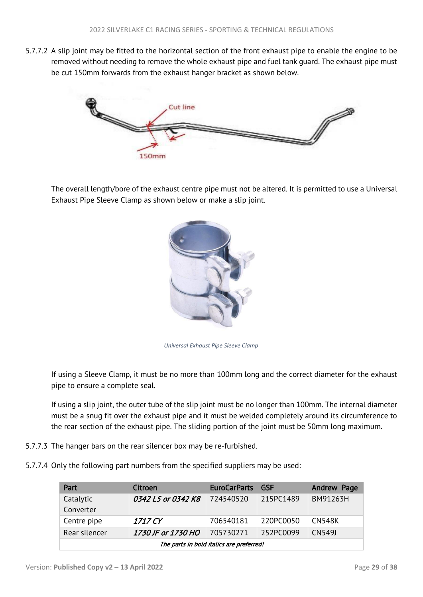5.7.7.2 A slip joint may be fitted to the horizontal section of the front exhaust pipe to enable the engine to be removed without needing to remove the whole exhaust pipe and fuel tank guard. The exhaust pipe must be cut 150mm forwards from the exhaust hanger bracket as shown below.



The overall length/bore of the exhaust centre pipe must not be altered. It is permitted to use a Universal Exhaust Pipe Sleeve Clamp as shown below or make a slip joint.



*Universal Exhaust Pipe Sleeve Clamp*

If using a Sleeve Clamp, it must be no more than 100mm long and the correct diameter for the exhaust pipe to ensure a complete seal.

If using a slip joint, the outer tube of the slip joint must be no longer than 100mm. The internal diameter must be a snug fit over the exhaust pipe and it must be welded completely around its circumference to the rear section of the exhaust pipe. The sliding portion of the joint must be 50mm long maximum.

- 5.7.7.3 The hanger bars on the rear silencer box may be re-furbished.
- 5.7.7.4 Only the following part numbers from the specified suppliers may be used:

| Part                                     | Citroen            | <b>EuroCarParts</b> | - GSF     | Andrew Page   |
|------------------------------------------|--------------------|---------------------|-----------|---------------|
| Catalytic                                | 0342 L5 or 0342 K8 | 724540520           | 215PC1489 | BM91263H      |
| Converter                                |                    |                     |           |               |
| Centre pipe                              | 1717 CY            | 706540181           | 220PC0050 | <b>CN548K</b> |
| Rear silencer                            | 1730 JF or 1730 HO | 705730271           | 252PC0099 | CN549J        |
| The parts in bold italics are preferred! |                    |                     |           |               |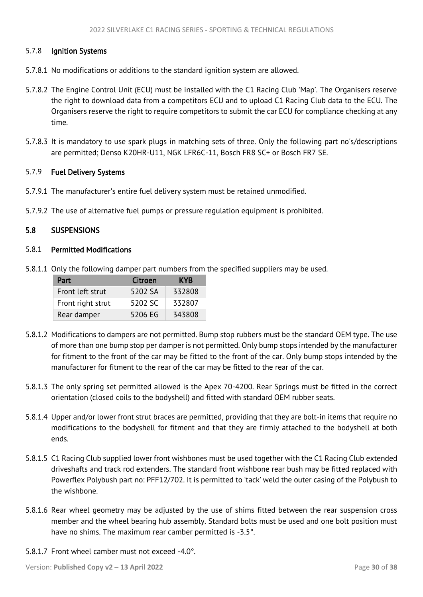## <span id="page-30-1"></span>5.7.8 Ignition Systems

- 5.7.8.1 No modifications or additions to the standard ignition system are allowed.
- 5.7.8.2 The Engine Control Unit (ECU) must be installed with the C1 Racing Club 'Map'. The Organisers reserve the right to download data from a competitors ECU and to upload C1 Racing Club data to the ECU. The Organisers reserve the right to require competitors to submit the car ECU for compliance checking at any time.
- 5.7.8.3 It is mandatory to use spark plugs in matching sets of three. Only the following part no's/descriptions are permitted; Denso K20HR-U11, NGK LFR6C-11, Bosch FR8 SC+ or Bosch FR7 SE.

#### 5.7.9 Fuel Delivery Systems

- 5.7.9.1 The manufacturer's entire fuel delivery system must be retained unmodified.
- 5.7.9.2 The use of alternative fuel pumps or pressure regulation equipment is prohibited.

#### <span id="page-30-0"></span>5.8 SUSPENSIONS

## 5.8.1 Permitted Modifications

5.8.1.1 Only the following damper part numbers from the specified suppliers may be used.

| Part              | Citroen | <b>KYR</b> |
|-------------------|---------|------------|
| Front left strut  | 5202 SA | 332808     |
| Front right strut | 5202 SC | 332807     |
| Rear damper       | 5206 EG | 343808     |

- 5.8.1.2 Modifications to dampers are not permitted. Bump stop rubbers must be the standard OEM type. The use of more than one bump stop per damper is not permitted. Only bump stops intended by the manufacturer for fitment to the front of the car may be fitted to the front of the car. Only bump stops intended by the manufacturer for fitment to the rear of the car may be fitted to the rear of the car.
- 5.8.1.3 The only spring set permitted allowed is the Apex 70-4200. Rear Springs must be fitted in the correct orientation (closed coils to the bodyshell) and fitted with standard OEM rubber seats.
- 5.8.1.4 Upper and/or lower front strut braces are permitted, providing that they are bolt-in items that require no modifications to the bodyshell for fitment and that they are firmly attached to the bodyshell at both ends.
- 5.8.1.5 C1 Racing Club supplied lower front wishbones must be used together with the C1 Racing Club extended driveshafts and track rod extenders. The standard front wishbone rear bush may be fitted replaced with Powerflex Polybush part no: PFF12/702. It is permitted to 'tack' weld the outer casing of the Polybush to the wishbone.
- 5.8.1.6 Rear wheel geometry may be adjusted by the use of shims fitted between the rear suspension cross member and the wheel bearing hub assembly. Standard bolts must be used and one bolt position must have no shims. The maximum rear camber permitted is -3.5°.
- 5.8.1.7 Front wheel camber must not exceed -4.0°.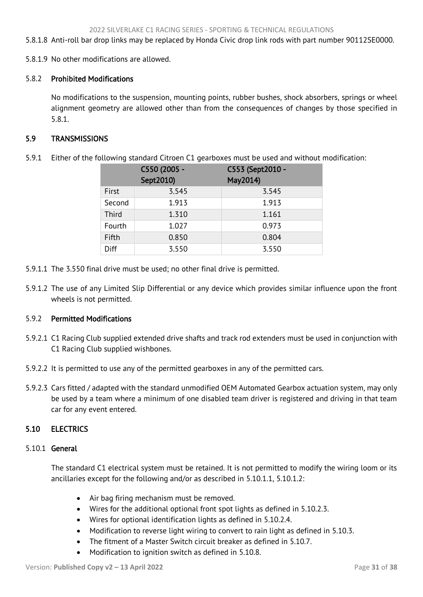<span id="page-31-2"></span>5.8.1.8 Anti-roll bar drop links may be replaced by Honda Civic drop link rods with part number 90112SE0000.

5.8.1.9 No other modifications are allowed.

## 5.8.2 Prohibited Modifications

No modifications to the suspension, mounting points, rubber bushes, shock absorbers, springs or wheel alignment geometry are allowed other than from the consequences of changes by those specified in 5.8.1.

## <span id="page-31-0"></span>5.9 TRANSMISSIONS

5.9.1 Either of the following standard Citroen C1 gearboxes must be used and without modification:

|        | C550 (2005 -<br>Sept2010) | C553 (Sept2010 -<br>May2014) |
|--------|---------------------------|------------------------------|
| First  | 3.545                     | 3.545                        |
| Second | 1.913                     | 1.913                        |
| Third  | 1.310                     | 1.161                        |
| Fourth | 1.027                     | 0.973                        |
| Fifth  | 0.850                     | 0.804                        |
| Diff   | 3.550                     | 3.550                        |

- 5.9.1.1 The 3.550 final drive must be used; no other final drive is permitted.
- 5.9.1.2 The use of any Limited Slip Differential or any device which provides similar influence upon the front wheels is not permitted.

## 5.9.2 Permitted Modifications

- 5.9.2.1 C1 Racing Club supplied extended drive shafts and track rod extenders must be used in conjunction with C1 Racing Club supplied wishbones.
- 5.9.2.2 It is permitted to use any of the permitted gearboxes in any of the permitted cars.
- 5.9.2.3 Cars fitted / adapted with the standard unmodified OEM Automated Gearbox actuation system, may only be used by a team where a minimum of one disabled team driver is registered and driving in that team car for any event entered.

# <span id="page-31-1"></span>5.10 ELECTRICS

#### 5.10.1 General

The standard C1 electrical system must be retained. It is not permitted to modify the wiring loom or its ancillaries except for the following and/or as described in 5.10.1.1, 5.10.1.2:

- Air bag firing mechanism must be removed.
- Wires for the additional optional front spot lights as defined in 5.10.2.3.
- Wires for optional identification lights as defined in 5.10.2.4.
- Modification to reverse light wiring to convert to rain light as defined in 5.10.3.
- The fitment of a Master Switch circuit breaker as defined in 5.10.7.
- Modification to ignition switch as defined in 5.10.8.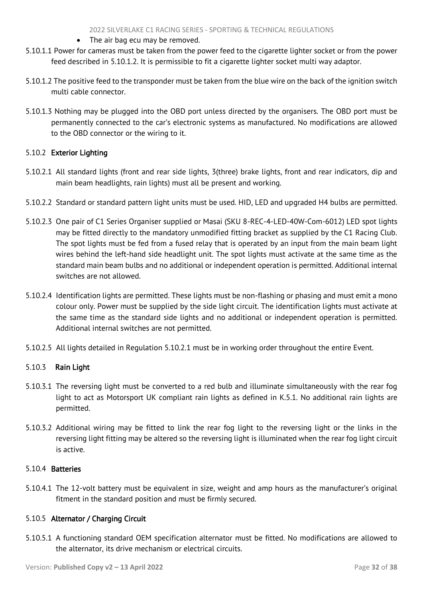- The air bag ecu may be removed.
- 5.10.1.1 Power for cameras must be taken from the power feed to the cigarette lighter socket or from the power feed described in 5.10.1.2. It is permissible to fit a cigarette lighter socket multi way adaptor.
- 5.10.1.2 The positive feed to the transponder must be taken from the blue wire on the back of the ignition switch multi cable connector.
- 5.10.1.3 Nothing may be plugged into the OBD port unless directed by the organisers. The OBD port must be permanently connected to the car's electronic systems as manufactured. No modifications are allowed to the OBD connector or the wiring to it.

# 5.10.2 Exterior Lighting

- 5.10.2.1 All standard lights (front and rear side lights, 3(three) brake lights, front and rear indicators, dip and main beam headlights, rain lights) must all be present and working.
- 5.10.2.2 Standard or standard pattern light units must be used. HID, LED and upgraded H4 bulbs are permitted.
- 5.10.2.3 One pair of C1 Series Organiser supplied or Masai (SKU 8-REC-4-LED-40W-Com-6012) LED spot lights may be fitted directly to the mandatory unmodified fitting bracket as supplied by the C1 Racing Club. The spot lights must be fed from a fused relay that is operated by an input from the main beam light wires behind the left-hand side headlight unit. The spot lights must activate at the same time as the standard main beam bulbs and no additional or independent operation is permitted. Additional internal switches are not allowed.
- 5.10.2.4 Identification lights are permitted. These lights must be non-flashing or phasing and must emit a mono colour only. Power must be supplied by the side light circuit. The identification lights must activate at the same time as the standard side lights and no additional or independent operation is permitted. Additional internal switches are not permitted.
- 5.10.2.5 All lights detailed in Regulation 5.10.2.1 must be in working order throughout the entire Event.

# 5.10.3 Rain Light

- 5.10.3.1 The reversing light must be converted to a red bulb and illuminate simultaneously with the rear fog light to act as Motorsport UK compliant rain lights as defined in K.5.1. No additional rain lights are permitted.
- 5.10.3.2 Additional wiring may be fitted to link the rear fog light to the reversing light or the links in the reversing light fitting may be altered so the reversing light is illuminated when the rear fog light circuit is active.

#### 5.10.4 Batteries

5.10.4.1 The 12-volt battery must be equivalent in size, weight and amp hours as the manufacturer's original fitment in the standard position and must be firmly secured.

# 5.10.5 Alternator / Charging Circuit

5.10.5.1 A functioning standard OEM specification alternator must be fitted. No modifications are allowed to the alternator, its drive mechanism or electrical circuits.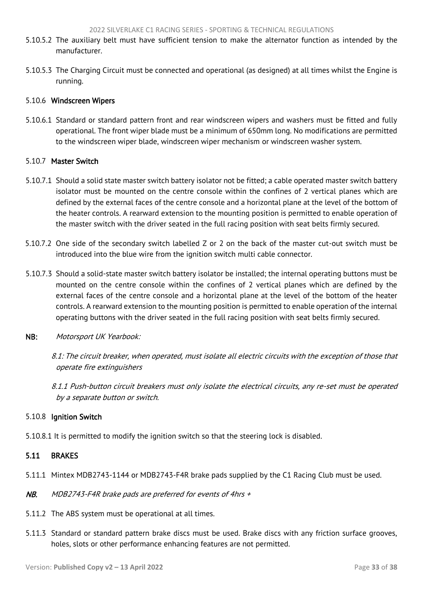- <span id="page-33-1"></span>5.10.5.2 The auxiliary belt must have sufficient tension to make the alternator function as intended by the manufacturer.
- 5.10.5.3 The Charging Circuit must be connected and operational (as designed) at all times whilst the Engine is running.

#### 5.10.6 Windscreen Wipers

5.10.6.1 Standard or standard pattern front and rear windscreen wipers and washers must be fitted and fully operational. The front wiper blade must be a minimum of 650mm long. No modifications are permitted to the windscreen wiper blade, windscreen wiper mechanism or windscreen washer system.

#### 5.10.7 Master Switch

- 5.10.7.1 Should a solid state master switch battery isolator not be fitted; a cable operated master switch battery isolator must be mounted on the centre console within the confines of 2 vertical planes which are defined by the external faces of the centre console and a horizontal plane at the level of the bottom of the heater controls. A rearward extension to the mounting position is permitted to enable operation of the master switch with the driver seated in the full racing position with seat belts firmly secured.
- 5.10.7.2 One side of the secondary switch labelled Z or 2 on the back of the master cut-out switch must be introduced into the blue wire from the ignition switch multi cable connector.
- 5.10.7.3 Should a solid-state master switch battery isolator be installed; the internal operating buttons must be mounted on the centre console within the confines of 2 vertical planes which are defined by the external faces of the centre console and a horizontal plane at the level of the bottom of the heater controls. A rearward extension to the mounting position is permitted to enable operation of the internal operating buttons with the driver seated in the full racing position with seat belts firmly secured.
- NB: Motorsport UK Yearbook:

8.1: The circuit breaker, when operated, must isolate all electric circuits with the exception of those that operate fire extinguishers

8.1.1 Push-button circuit breakers must only isolate the electrical circuits, any re-set must be operated by a separate button or switch.

#### 5.10.8 Ignition Switch

5.10.8.1 It is permitted to modify the ignition switch so that the steering lock is disabled.

## <span id="page-33-0"></span>5.11 BRAKES

- 5.11.1 Mintex MDB2743-1144 or MDB2743-F4R brake pads supplied by the C1 Racing Club must be used.
- NB. MDB2743-F4R brake pads are preferred for events of 4hrs +
- 5.11.2 The ABS system must be operational at all times.
- 5.11.3 Standard or standard pattern brake discs must be used. Brake discs with any friction surface grooves, holes, slots or other performance enhancing features are not permitted.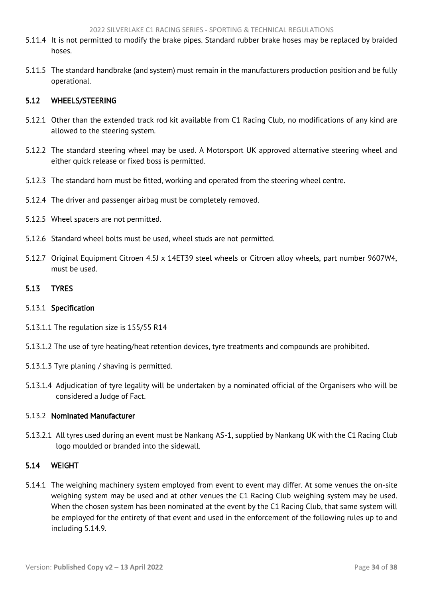- <span id="page-34-3"></span>5.11.4 It is not permitted to modify the brake pipes. Standard rubber brake hoses may be replaced by braided hoses.
- 5.11.5 The standard handbrake (and system) must remain in the manufacturers production position and be fully operational.

## <span id="page-34-0"></span>5.12 WHEELS/STEERING

- 5.12.1 Other than the extended track rod kit available from C1 Racing Club, no modifications of any kind are allowed to the steering system.
- 5.12.2 The standard steering wheel may be used. A Motorsport UK approved alternative steering wheel and either quick release or fixed boss is permitted.
- 5.12.3 The standard horn must be fitted, working and operated from the steering wheel centre.
- 5.12.4 The driver and passenger airbag must be completely removed.
- 5.12.5 Wheel spacers are not permitted.
- 5.12.6 Standard wheel bolts must be used, wheel studs are not permitted.
- 5.12.7 Original Equipment Citroen 4.5J x 14ET39 steel wheels or Citroen alloy wheels, part number 9607W4, must be used.

#### <span id="page-34-1"></span>5.13 TYRES

#### 5.13.1 Specification

- 5.13.1.1 The regulation size is 155/55 R14
- 5.13.1.2 The use of tyre heating/heat retention devices, tyre treatments and compounds are prohibited.
- 5.13.1.3 Tyre planing / shaving is permitted.
- 5.13.1.4 Adjudication of tyre legality will be undertaken by a nominated official of the Organisers who will be considered a Judge of Fact.

# 5.13.2 Nominated Manufacturer

5.13.2.1 All tyres used during an event must be Nankang AS-1, supplied by Nankang UK with the C1 Racing Club logo moulded or branded into the sidewall.

#### <span id="page-34-2"></span>5.14 WEIGHT

5.14.1 The weighing machinery system employed from event to event may differ. At some venues the on-site weighing system may be used and at other venues the C1 Racing Club weighing system may be used. When the chosen system has been nominated at the event by the C1 Racing Club, that same system will be employed for the entirety of that event and used in the enforcement of the following rules up to and including 5.14.9.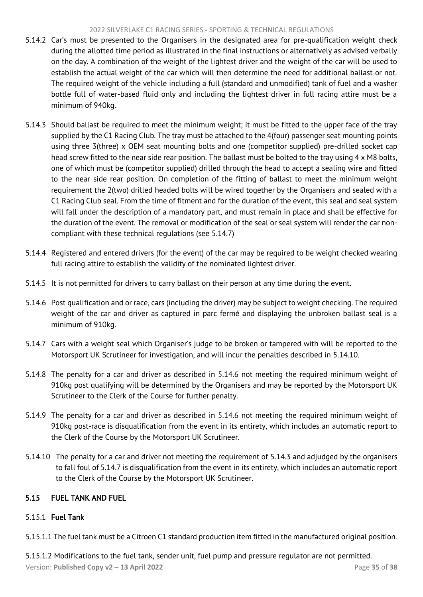#### 2022 SILVERLAKE C1 RACING SERIES - SPORTING & TECHNICAL REGULATIONS

- <span id="page-35-1"></span>5.14.2 Car's must be presented to the Organisers in the designated area for pre-qualification weight check during the allotted time period as illustrated in the final instructions or alternatively as advised verbally on the day. A combination of the weight of the lightest driver and the weight of the car will be used to establish the actual weight of the car which will then determine the need for additional ballast or not. The required weight of the vehicle including a full (standard and unmodified) tank of fuel and a washer bottle full of water-based fluid only and including the lightest driver in full racing attire must be a minimum of 940kg.
- 5.14.3 Should ballast be required to meet the minimum weight; it must be fitted to the upper face of the tray supplied by the C1 Racing Club. The tray must be attached to the 4(four) passenger seat mounting points using three 3(three) x OEM seat mounting bolts and one (competitor supplied) pre-drilled socket cap head screw fitted to the near side rear position. The ballast must be bolted to the tray using 4 x M8 bolts, one of which must be (competitor supplied) drilled through the head to accept a sealing wire and fitted to the near side rear position. On completion of the fitting of ballast to meet the minimum weight requirement the 2(two) drilled headed bolts will be wired together by the Organisers and sealed with a C1 Racing Club seal. From the time of fitment and for the duration of the event, this seal and seal system will fall under the description of a mandatory part, and must remain in place and shall be effective for the duration of the event. The removal or modification of the seal or seal system will render the car noncompliant with these technical regulations (see 5.14.7)
- 5.14.4 Registered and entered drivers (for the event) of the car may be required to be weight checked wearing full racing attire to establish the validity of the nominated lightest driver.
- 5.14.5 It is not permitted for drivers to carry ballast on their person at any time during the event.
- 5.14.6 Post qualification and or race, cars (including the driver) may be subject to weight checking. The required weight of the car and driver as captured in parc fermé and displaying the unbroken ballast seal is a minimum of 910kg.
- 5.14.7 Cars with a weight seal which Organiser's judge to be broken or tampered with will be reported to the Motorsport UK Scrutineer for investigation, and will incur the penalties described in 5.14.10.
- 5.14.8 The penalty for a car and driver as described in 5.14.6 not meeting the required minimum weight of 910kg post qualifying will be determined by the Organisers and may be reported by the Motorsport UK Scrutineer to the Clerk of the Course for further penalty.
- 5.14.9 The penalty for a car and driver as described in 5.14.6 not meeting the required minimum weight of 910kg post-race is disqualification from the event in its entirety, which includes an automatic report to the Clerk of the Course by the Motorsport UK Scrutineer.
- 5.14.10 The penalty for a car and driver not meeting the requirement of 5.14.3 and adjudged by the organisers to fall foul of 5.14.7 is disqualification from the event in its entirety, which includes an automatic report to the Clerk of the Course by the Motorsport UK Scrutineer.

# <span id="page-35-0"></span>5.15 FUEL TANK AND FUEL

# 5.15.1 Fuel Tank

5.15.1.1 The fuel tank must be a Citroen C1 standard production item fitted in the manufactured original position.

Version: **Published Copy v2 – 13 April 2022** Page **35** of **38** 5.15.1.2 Modifications to the fuel tank, sender unit, fuel pump and pressure regulator are not permitted.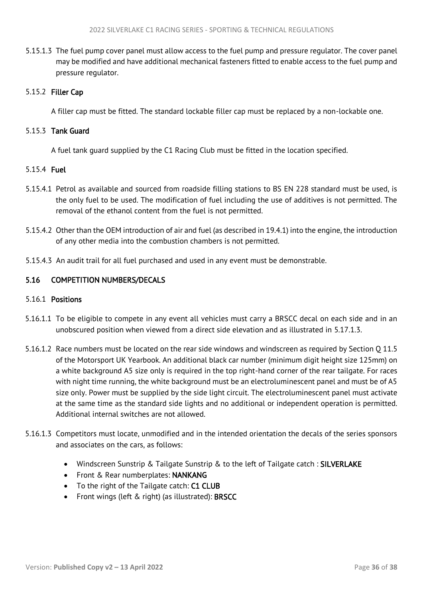<span id="page-36-1"></span>5.15.1.3 The fuel pump cover panel must allow access to the fuel pump and pressure regulator. The cover panel may be modified and have additional mechanical fasteners fitted to enable access to the fuel pump and pressure regulator.

# 5.15.2 Filler Cap

A filler cap must be fitted. The standard lockable filler cap must be replaced by a non-lockable one.

## 5.15.3 Tank Guard

A fuel tank guard supplied by the C1 Racing Club must be fitted in the location specified.

## 5.15.4 Fuel

- 5.15.4.1 Petrol as available and sourced from roadside filling stations to BS EN 228 standard must be used, is the only fuel to be used. The modification of fuel including the use of additives is not permitted. The removal of the ethanol content from the fuel is not permitted.
- 5.15.4.2 Other than the OEM introduction of air and fuel (as described in 19.4.1) into the engine, the introduction of any other media into the combustion chambers is not permitted.
- 5.15.4.3 An audit trail for all fuel purchased and used in any event must be demonstrable.

# <span id="page-36-0"></span>5.16 COMPETITION NUMBERS/DECALS

# 5.16.1 Positions

- 5.16.1.1 To be eligible to compete in any event all vehicles must carry a BRSCC decal on each side and in an unobscured position when viewed from a direct side elevation and as illustrated in 5.17.1.3.
- 5.16.1.2 Race numbers must be located on the rear side windows and windscreen as required by Section Q 11.5 of the Motorsport UK Yearbook. An additional black car number (minimum digit height size 125mm) on a white background A5 size only is required in the top right-hand corner of the rear tailgate. For races with night time running, the white background must be an electroluminescent panel and must be of A5 size only. Power must be supplied by the side light circuit. The electroluminescent panel must activate at the same time as the standard side lights and no additional or independent operation is permitted. Additional internal switches are not allowed.
- 5.16.1.3 Competitors must locate, unmodified and in the intended orientation the decals of the series sponsors and associates on the cars, as follows:
	- Windscreen Sunstrip & Tailgate Sunstrip & to the left of Tailgate catch: SILVERLAKE
	- Front & Rear numberplates: NANKANG
	- To the right of the Tailgate catch: C1 CLUB
	- Front wings (left & right) (as illustrated): BRSCC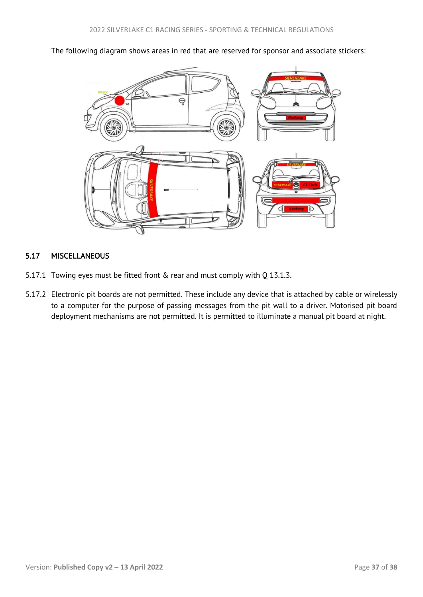<span id="page-37-1"></span>The following diagram shows areas in red that are reserved for sponsor and associate stickers:



# <span id="page-37-0"></span>5.17 MISCELLANEOUS

- 5.17.1 Towing eyes must be fitted front & rear and must comply with Q 13.1.3.
- 5.17.2 Electronic pit boards are not permitted. These include any device that is attached by cable or wirelessly to a computer for the purpose of passing messages from the pit wall to a driver. Motorised pit board deployment mechanisms are not permitted. It is permitted to illuminate a manual pit board at night.